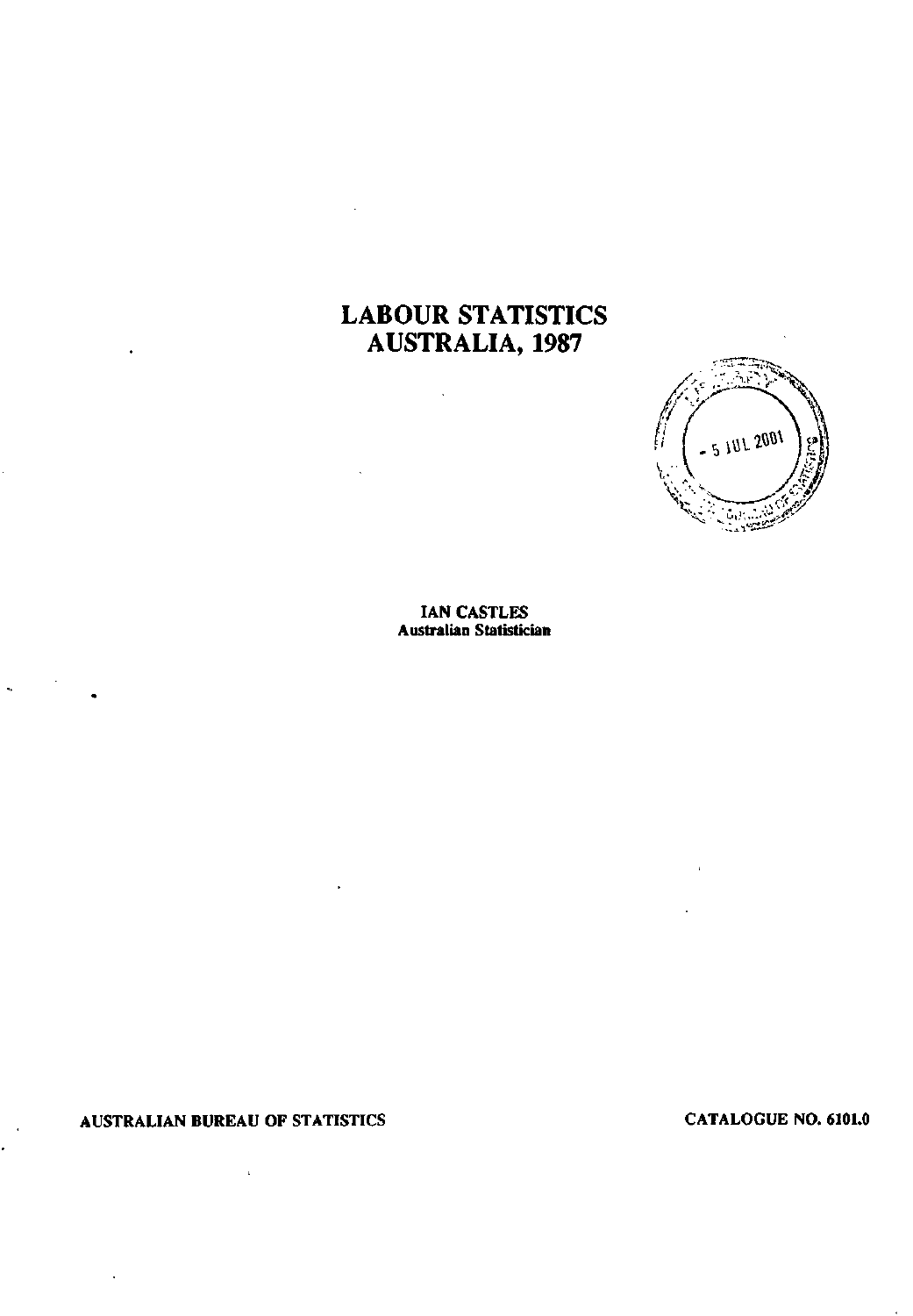# **LABOUR STATISTICS AUSTRALIA, 1987**

 $\overline{\phantom{a}}$ 



**IAN CASTLES Australian Statistician** 

**AUSTRALIAN BUREAU OF STATISTICS CATALOGUE NO. 6101.0** 

 $\mathbf{r}$ 

 $\ddot{\phantom{0}}$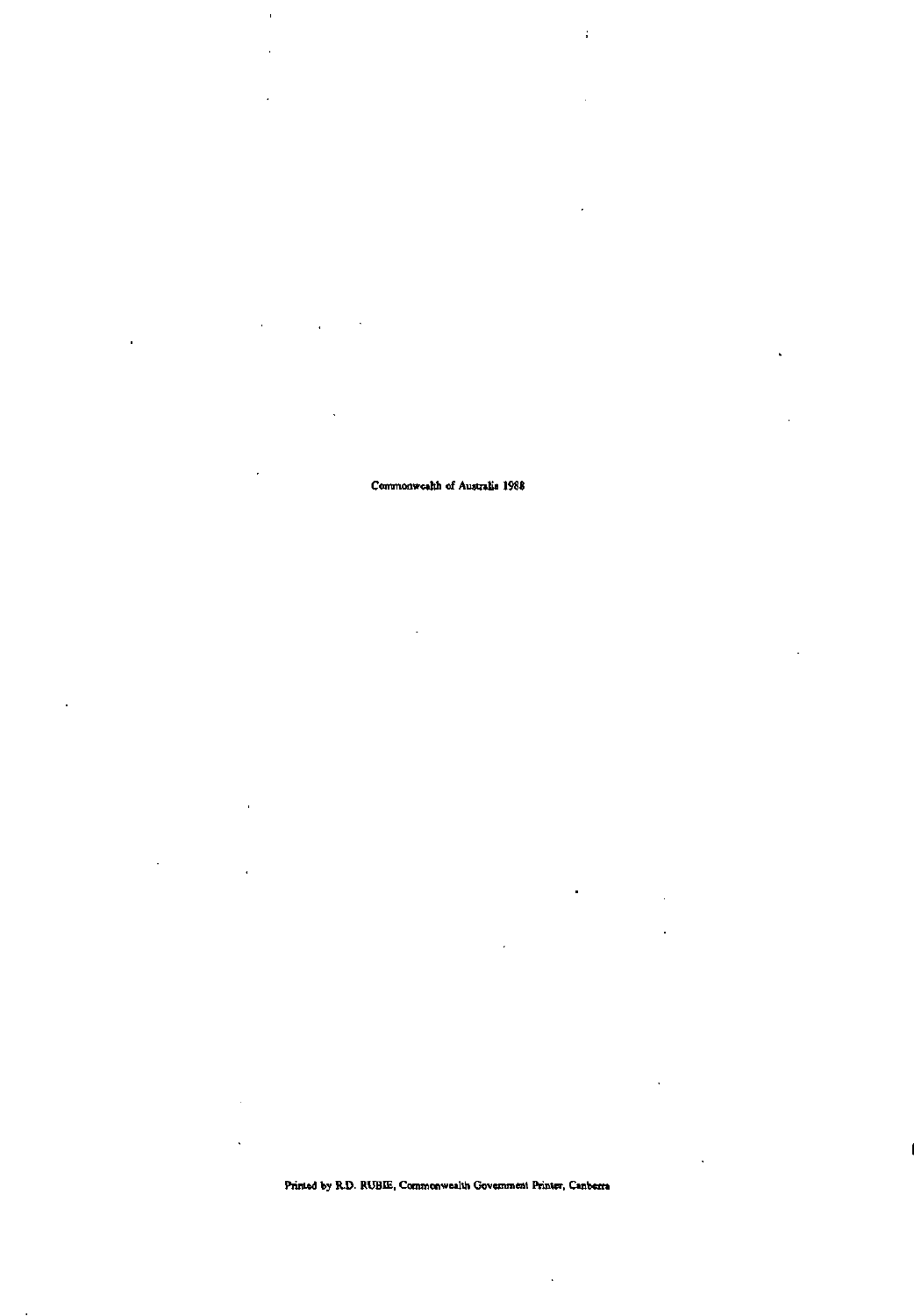**Printed by R.D. RUBIE, Commonwealth Government Printer, Canberra** 

 $\overline{a}$  $\mathbf{r}$ 

 $\mathbf{r} = \mathbf{r}$ 

 $\ddot{\phantom{a}}$ 

**Commonwealth of Australia 1988** 

 $\ddot{\phantom{0}}$ 

 $\overline{\phantom{a}}$ 

þ

 $\mathbf{I}$ 

J.

 $\ddot{\phantom{1}}$ 

l,

l,

 $\ddot{\phantom{a}}$ 

 $\overline{a}$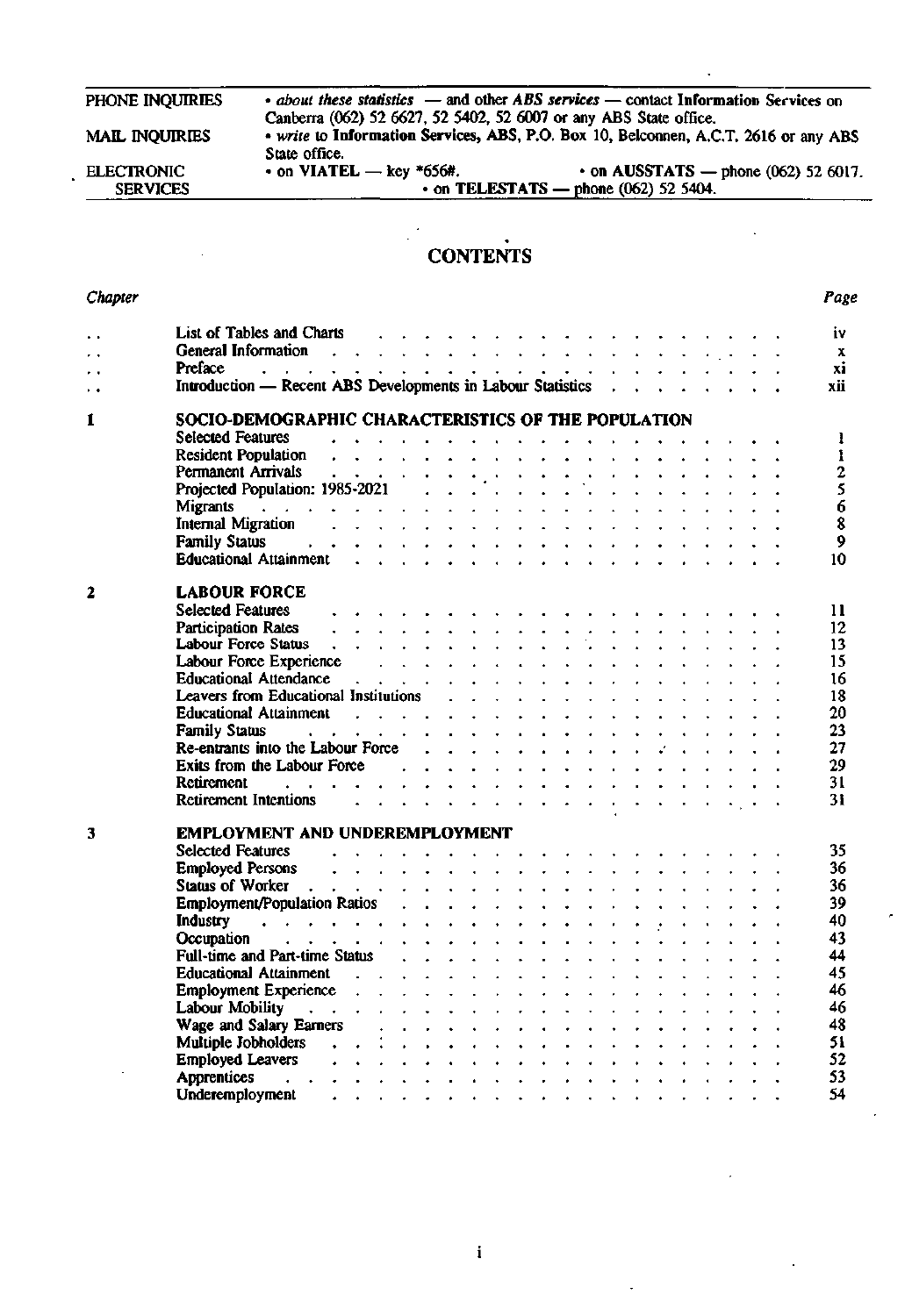| PHONE INQUIRIES       |                                                                   | • about these statistics – and other ABS services – contact Information Services on  |
|-----------------------|-------------------------------------------------------------------|--------------------------------------------------------------------------------------|
|                       | Canberra (062) 52 6627, 52 5402, 52 6007 or any ABS State office. |                                                                                      |
| <b>MAIL INQUIRIES</b> |                                                                   | • write to Information Services, ABS, P.O. Box 10, Belconnen, A.C.T. 2616 or any ABS |
|                       | State office.                                                     |                                                                                      |
| <b>ELECTRONIC</b>     | $\cdot$ on VIATEL — key $*656#$ .                                 | $\cdot$ on AUSSTATS — phone (062) 52 6017.                                           |
| <b>SERVICES</b>       |                                                                   | $\cdot$ on TELESTATS — phone (062) 52 5404.                                          |

# **CONTENTS**

| Chapter              |                                                                                                                                                                                                                                                  | Page           |
|----------------------|--------------------------------------------------------------------------------------------------------------------------------------------------------------------------------------------------------------------------------------------------|----------------|
| $\ddot{\phantom{0}}$ | List of Tables and Charts (Allen Charts Allen Charts Allen Charts Allen Charts Allen Charts Allen Charts Allen                                                                                                                                   | iv             |
| ٠.                   | General Information resolution of the contract of the contract of the contract of the contract of the contract of the contract of the contract of the contract of the contract of the contract of the contract of the contract                   | $\mathbf{x}$   |
| . .                  |                                                                                                                                                                                                                                                  | хi             |
| . .                  | Introduction — Recent ABS Developments in Labour Statistics                                                                                                                                                                                      | xii            |
| ĺ                    | SOCIO-DEMOGRAPHIC CHARACTERISTICS OF THE POPULATION                                                                                                                                                                                              |                |
|                      | Selected Features Albert Albert Albert Albert Albert Albert Albert Albert Albert Albert Albert Albert Albert Albert Albert Albert Albert Albert Albert Albert Albert Albert Albert Albert Albert Albert Albert Albert Albert A                   | -1             |
|                      | Resident Population response to the contract of the contract of the contract of the contract of the contract of the contract of the contract of the contract of the contract of the contract of the contract of the contract o                   | $\mathbf{I}$   |
|                      |                                                                                                                                                                                                                                                  | $\overline{2}$ |
|                      |                                                                                                                                                                                                                                                  | $\overline{5}$ |
|                      |                                                                                                                                                                                                                                                  | 6              |
|                      |                                                                                                                                                                                                                                                  | 8              |
|                      | Family Status resources and the contract of the status of the status of the status of the status of the status of the status of the status of the status of the status of the status of the status of the status of the status                   | 9              |
|                      |                                                                                                                                                                                                                                                  | 10             |
| 2                    | <b>LABOUR FORCE</b>                                                                                                                                                                                                                              |                |
|                      | Selected Features (etc.) and the contract of the contract of the contract of the contract of the contract of the contract of the contract of the contract of the contract of the contract of the contract of the contract of t                   | 11             |
|                      |                                                                                                                                                                                                                                                  | 12             |
|                      |                                                                                                                                                                                                                                                  | 13             |
|                      |                                                                                                                                                                                                                                                  | 15             |
|                      | Labour Force Experience<br>Educational Attendance<br>Note: Allen Attendance<br>Note: Allen Attendance<br>Note: Allen Attendance<br>Note: Allen Attendance<br>Note: Allen Attendance<br>Note: Allen Attendance<br>Note: Allen Attendance<br>Note: | 16             |
|                      | Leavers from Educational Institutions resources and contact the contact of the state of the contact of the contact of the contact of the contact of the contact of the contact of the contact of the contact of the contact of                   | 18             |
|                      | Educational Attainment and a subset of the state of the state of the state of the state of the state of the state of the state of the state of the state of the state of the state of the state of the state of the state of t                   | 20             |
|                      | Family Status research and the service of the service of the service of the service of the service of the service of the service of the service of the service of the service of the service of the service of the service of                    | 23             |
|                      | Re-entrants into the Labour Force $\cdots$ $\cdots$ $\cdots$ $\cdots$ $\cdots$ $\cdots$ $\cdots$ $\cdots$                                                                                                                                        | 27             |
|                      | Exits from the Labour Force $\cdots$ , $\cdots$ , $\cdots$ , $\cdots$ , $\cdots$ , $\cdots$ , $\cdots$                                                                                                                                           | 29             |
|                      |                                                                                                                                                                                                                                                  | 31             |
|                      | Retirement Intentions and a subset of the state of the state of the state of the state of the state of the state of the state of the state of the state of the state of the state of the state of the state of the state of th                   | 31             |
|                      |                                                                                                                                                                                                                                                  |                |
| 3                    | EMPLOYMENT AND UNDEREMPLOYMENT                                                                                                                                                                                                                   |                |
|                      | Selected Features entering the contract of the contract of the contract of the contract of the contract of the contract of the contract of the contract of the contract of the contract of the contract of the contract of the                   | 35             |
|                      | Employed Persons<br>Status of Worker<br>The Matter (1990) of Worker<br>The Matter (1990) of Worker<br>The Matter (1990) of Matter (1990) of the Matter (1990) of the Matter (1990) of the Matter (1990) of the Matter (1990) of the Ma           | 36             |
|                      |                                                                                                                                                                                                                                                  | 36             |
|                      |                                                                                                                                                                                                                                                  | 39             |
|                      | Industry and the contract of the contract of the contract of the contract of the contract of the contract of the contract of the contract of the contract of the contract of the contract of the contract of the contract of t                   | 40             |
|                      |                                                                                                                                                                                                                                                  | 43             |
|                      | Full-time and Part-time Status (e.g., e.g., e.g., e.g., e.g., e.g., e.g., e.g., e.g., e.g., e.g., e.g., e.g., e.g., e.g., e.g., e.g., e.g., e.g., e.g., e.g., e.g., e.g., e.g., e.g., e.g., e.g., e.g., e.g., e.g., e.g., e.g.                   | 44             |
|                      | Educational Attainment and a subset of the subset of the set of the set of the set of the set of the set of the set of the set of the set of the set of the set of the set of the set of the set of the set of the set of the                    | 45             |
|                      | Employment Experience response to the contract of the contract of the contract of the contract of the contract of the contract of the contract of the contract of the contract of the contract of the contract of the contract                   | 46             |
|                      |                                                                                                                                                                                                                                                  | 46             |
|                      | Wage and Salary Earners and the contract the contract of the contract of the contract of the contract of the contract of the contract of the contract of the contract of the contract of the contract of the contract of the c                   | 48             |
|                      | Multiple Jobholders (e.g., Contract of the Contract of the Contract of the Contract of the Contract of the Contract of the Contract of the Contract of the Contract of the Contract of the Contract of the Contract of the Con                   | 51             |
|                      | Employed Leavers response to the contract of the contract of the contract of the contract of the contract of the contract of the contract of the contract of the contract of the contract of the contract of the contract of t                   | 52             |
|                      |                                                                                                                                                                                                                                                  | 53             |
|                      |                                                                                                                                                                                                                                                  | 54             |

 $\mathbf i$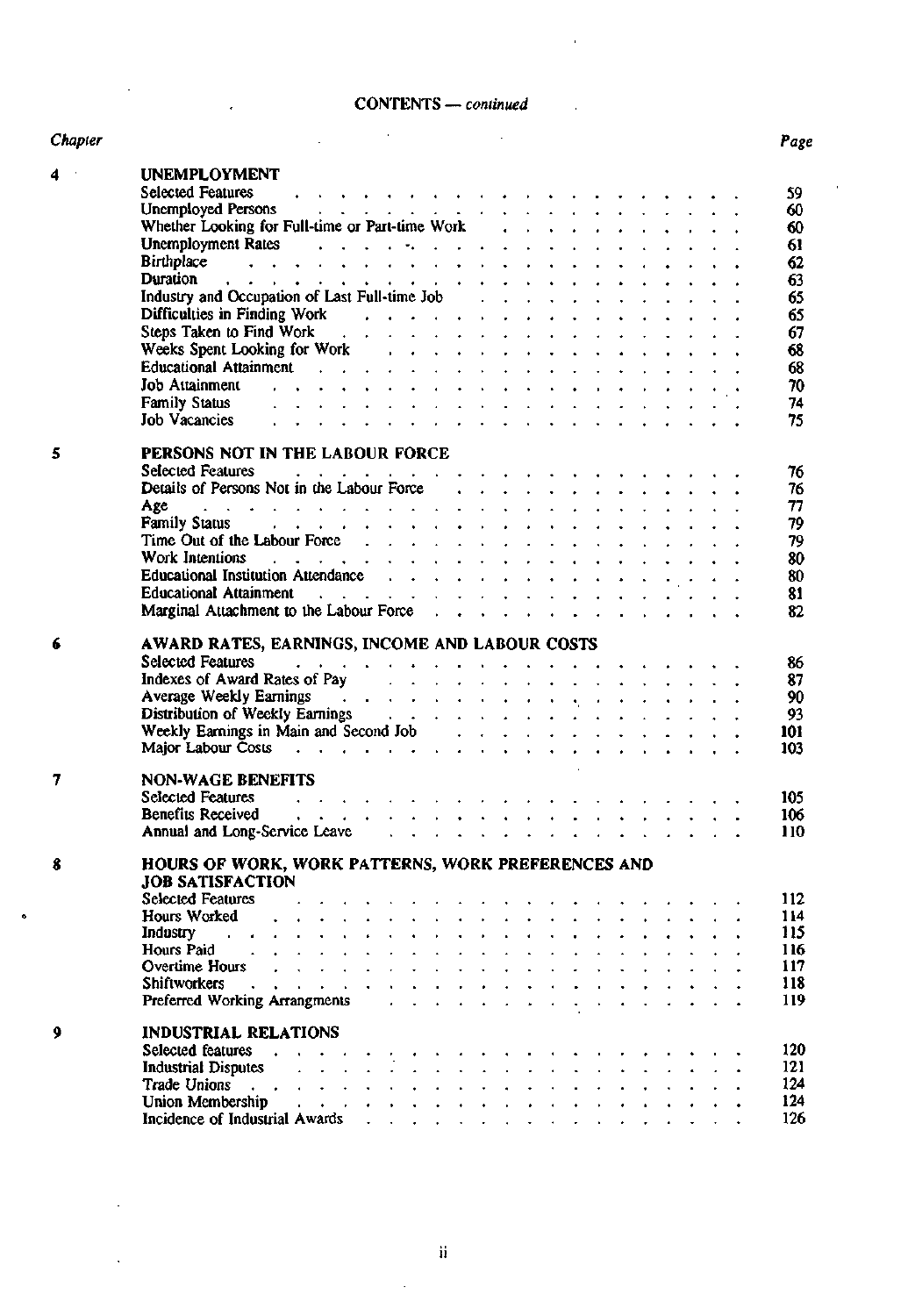## CONTENTS — *continued*

J

| mler |  |  |
|------|--|--|

 $\ddot{\phantom{a}}$ 

| Chapter        |                                                                                                                                                                                                                                                                                                                                                                                                                                                                     | Page |
|----------------|---------------------------------------------------------------------------------------------------------------------------------------------------------------------------------------------------------------------------------------------------------------------------------------------------------------------------------------------------------------------------------------------------------------------------------------------------------------------|------|
| 4 <sup>1</sup> | <b>UNEMPLOYMENT</b>                                                                                                                                                                                                                                                                                                                                                                                                                                                 |      |
|                | $\mathcal{A}$ , which is a set of the contribution of the contribution of the contribution of $\mathcal{A}$<br><b>Selected Features</b>                                                                                                                                                                                                                                                                                                                             | 59   |
|                |                                                                                                                                                                                                                                                                                                                                                                                                                                                                     | 60   |
|                | Unemployed Persons<br>Whether Looking for Full-time or Part-time Work<br>expansion of the Cooking for Full-time or Part-time Work<br>expansion of the Cooking for Full-time or Part-time Work<br>expansion of the Cooking for Full-time                                                                                                                                                                                                                             | 60   |
|                |                                                                                                                                                                                                                                                                                                                                                                                                                                                                     | 61   |
|                | Unemployment Rates<br>Sirthplace<br>                                                                                                                                                                                                                                                                                                                                                                                                                                | 62   |
|                |                                                                                                                                                                                                                                                                                                                                                                                                                                                                     | 63   |
|                | Industry and Occupation of Last Full-time Job (Changle School of Last Full-time Job (Changle School of Changle School of Changle School of Changle School of Changle School of Changle School of Changle School of Changle Sch                                                                                                                                                                                                                                      | 65   |
|                |                                                                                                                                                                                                                                                                                                                                                                                                                                                                     | 65   |
|                | Difficulties in Finding Work<br>Steps Taken to Find Work<br>Conservation of the Work<br>Conservation of the Work<br>Conservation of the Work<br>Conservation of the Work                                                                                                                                                                                                                                                                                            | 67   |
|                |                                                                                                                                                                                                                                                                                                                                                                                                                                                                     |      |
|                | Weeks Spent Looking for Work (Changel Allen Albert Albert Albert Albert Albert Albert Albert Albert Albert Albert Albert Albert Albert Albert Albert Albert Albert Albert Albert Albert Albert Albert Albert Albert Albert Alb                                                                                                                                                                                                                                      | 68   |
|                | Educational Attainment and a subset of the subset of the set of the set of the set of the set of the set of the                                                                                                                                                                                                                                                                                                                                                     | 68   |
|                |                                                                                                                                                                                                                                                                                                                                                                                                                                                                     | 70   |
|                | الأرادي والمتواطن والمتواطن والمتواطن والمتواطن والمتواطن والمتواطن<br><b>Family Status</b>                                                                                                                                                                                                                                                                                                                                                                         | 74   |
|                | <b>Job Vacancies</b>                                                                                                                                                                                                                                                                                                                                                                                                                                                | 75   |
| 5              | PERSONS NOT IN THE LABOUR FORCE                                                                                                                                                                                                                                                                                                                                                                                                                                     |      |
|                |                                                                                                                                                                                                                                                                                                                                                                                                                                                                     | 76   |
|                |                                                                                                                                                                                                                                                                                                                                                                                                                                                                     | 76   |
|                |                                                                                                                                                                                                                                                                                                                                                                                                                                                                     | 77   |
|                | Age<br>Family Status decrees the contract of the status of the status of the status of the status of the status of the status of the status of the status of the status of the status of the status of the status of the status o                                                                                                                                                                                                                                   | 79   |
|                |                                                                                                                                                                                                                                                                                                                                                                                                                                                                     | 79   |
|                | Work Intentions (e.g., e.g., e.g., e.g., e.g., e.g., e.g., e.g., e.g., e.g., e.g., e.g., e.g., e.g., e.g., e.g., e.g., e.g., e.g., e.g., e.g., e.g., e.g., e.g., e.g., e.g., e.g., e.g., e.g., e.g., e.g., e.g., e.g., e.g., e                                                                                                                                                                                                                                      | 80   |
|                |                                                                                                                                                                                                                                                                                                                                                                                                                                                                     |      |
|                |                                                                                                                                                                                                                                                                                                                                                                                                                                                                     | 80   |
|                | Educational Attainment and a subset of the subset of the set of the set of the set of the set of the set of the set of the set of the set of the set of the set of the set of the set of the set of the set of the set of the                                                                                                                                                                                                                                       | 81   |
|                | Marginal Attachment to the Labour Force                                                                                                                                                                                                                                                                                                                                                                                                                             | 82   |
| 6              | AWARD RATES, EARNINGS, INCOME AND LABOUR COSTS                                                                                                                                                                                                                                                                                                                                                                                                                      |      |
|                | Selected Features and a subsequently and a subsequently and a subsequently and a subsequently a subsequently and $\mathbb{R}$                                                                                                                                                                                                                                                                                                                                       | 86   |
|                | Indexes of Award Rates of Pay                                                                                                                                                                                                                                                                                                                                                                                                                                       | 87   |
|                |                                                                                                                                                                                                                                                                                                                                                                                                                                                                     | 90   |
|                | Average Weekly Earnings<br>Distribution of Weekly Earnings<br>expansion of Weekly Earnings<br>expansion of the set of the set of the set of the set of the set of the set of the set of the set of the set of the set of the set of t                                                                                                                                                                                                                               | 93   |
|                |                                                                                                                                                                                                                                                                                                                                                                                                                                                                     |      |
|                | Weekly Earnings in Main and Second Job (Changel Alexandre Costs)                                                                                                                                                                                                                                                                                                                                                                                                    | 101  |
|                |                                                                                                                                                                                                                                                                                                                                                                                                                                                                     | 103  |
| 7              | <b>NON-WAGE BENEFITS</b>                                                                                                                                                                                                                                                                                                                                                                                                                                            |      |
|                |                                                                                                                                                                                                                                                                                                                                                                                                                                                                     | 105  |
|                | Selected Features<br>Benefits Received<br>Received<br>Received<br>Received<br>Received<br>Received<br>Received<br>Received<br>Received<br>Received<br>Received Received<br>Received Received Received Received Received Received Received Received Received Receiv                                                                                                                                                                                                  | 106  |
|                |                                                                                                                                                                                                                                                                                                                                                                                                                                                                     | 110  |
|                |                                                                                                                                                                                                                                                                                                                                                                                                                                                                     |      |
| 8              | HOURS OF WORK, WORK PATTERNS, WORK PREFERENCES AND                                                                                                                                                                                                                                                                                                                                                                                                                  |      |
|                | <b>JOB SATISFACTION</b>                                                                                                                                                                                                                                                                                                                                                                                                                                             |      |
|                | <b>Selected Features</b>                                                                                                                                                                                                                                                                                                                                                                                                                                            | 112  |
|                | Hours Worked                                                                                                                                                                                                                                                                                                                                                                                                                                                        | 114  |
|                | Industry<br>and a state of the state of the state                                                                                                                                                                                                                                                                                                                                                                                                                   | 115  |
|                | Hours Paid                                                                                                                                                                                                                                                                                                                                                                                                                                                          | 116  |
|                | Overtime Hours                                                                                                                                                                                                                                                                                                                                                                                                                                                      | 117  |
|                | <b>Shiftworkers</b>                                                                                                                                                                                                                                                                                                                                                                                                                                                 | 118  |
|                | Preferred Working Arrangments<br>$\mathbf{r} = \mathbf{r} + \mathbf{r} + \mathbf{r} + \mathbf{r} + \mathbf{r} + \mathbf{r} + \mathbf{r}$                                                                                                                                                                                                                                                                                                                            | 119  |
|                |                                                                                                                                                                                                                                                                                                                                                                                                                                                                     |      |
| 9              | <b>INDUSTRIAL RELATIONS</b>                                                                                                                                                                                                                                                                                                                                                                                                                                         |      |
|                | Selected features                                                                                                                                                                                                                                                                                                                                                                                                                                                   | 120  |
|                | <b>Industrial Disputes</b>                                                                                                                                                                                                                                                                                                                                                                                                                                          | 121  |
|                | Trade Unions<br>.<br>In the property of the company of the property of the company of the company of the company of the company of                                                                                                                                                                                                                                                                                                                                  | 124  |
|                | Union Membership<br>a construction of the construction of the construction of the construction of the construction of the construction of the construction of the construction of the construction of the construction of the construction of the                                                                                                                                                                                                                   | 124  |
|                | Incidence of Industrial Awards<br>$\label{eq:2.1} \begin{array}{cccccccccc} \mathbf{1} & \mathbf{1} & \mathbf{1} & \mathbf{1} & \mathbf{1} & \mathbf{1} & \mathbf{1} & \mathbf{1} & \mathbf{1} & \mathbf{1} & \mathbf{1} & \mathbf{1} & \mathbf{1} & \mathbf{1} & \mathbf{1} & \mathbf{1} & \mathbf{1} & \mathbf{1} & \mathbf{1} & \mathbf{1} & \mathbf{1} & \mathbf{1} & \mathbf{1} & \mathbf{1} & \mathbf{1} & \mathbf{1} & \mathbf{1} & \mathbf{1} & \mathbf{1}$ | 126  |
|                |                                                                                                                                                                                                                                                                                                                                                                                                                                                                     |      |

 $\ddot{\phantom{0}}$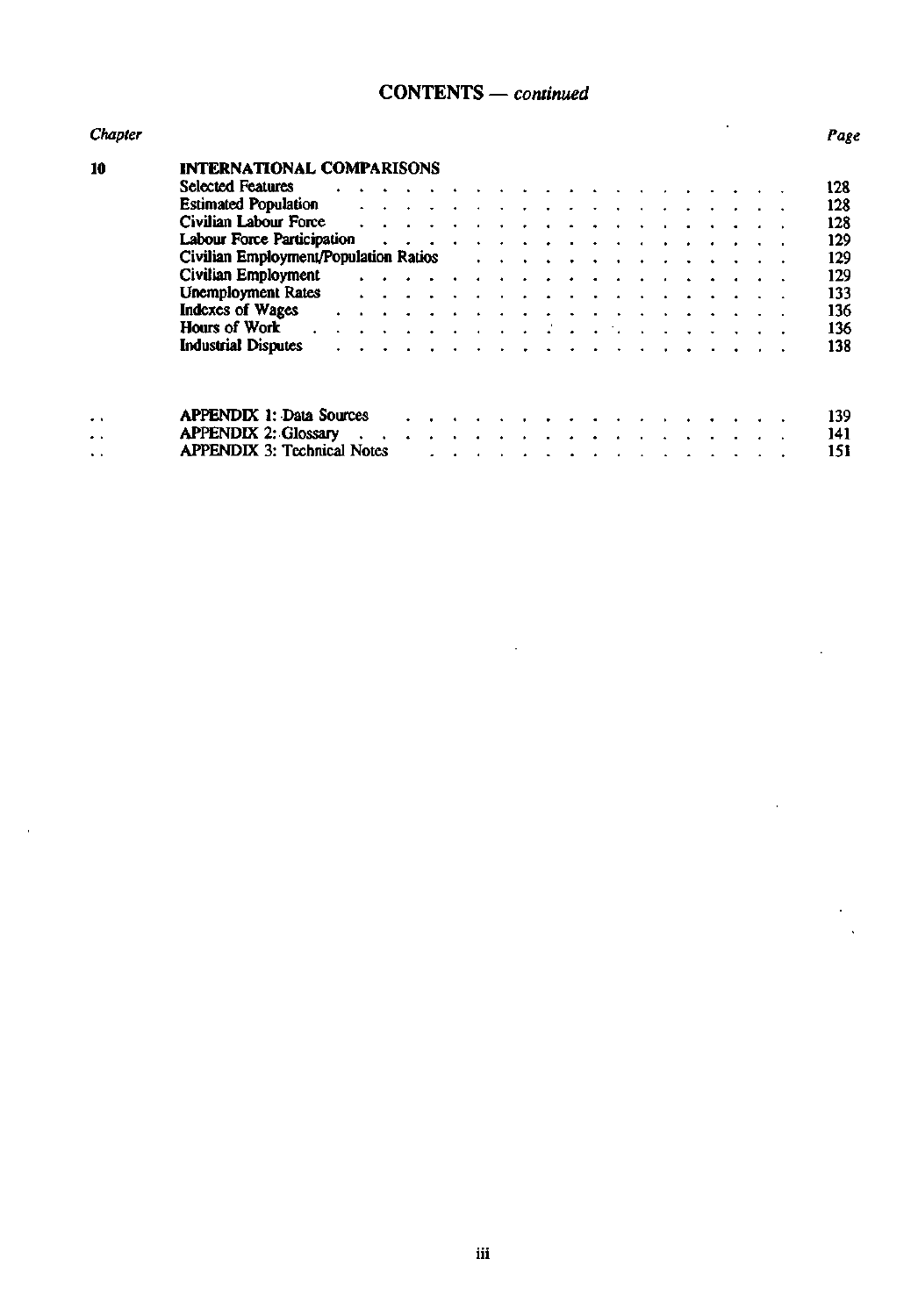## **CONTENTS —** *continued*

| Chapter              |                                       |  |  |  |  |                                                                                                                                                                                                                                       |        |  |  |  | Page |
|----------------------|---------------------------------------|--|--|--|--|---------------------------------------------------------------------------------------------------------------------------------------------------------------------------------------------------------------------------------------|--------|--|--|--|------|
| 10                   | <b>INTERNATIONAL COMPARISONS</b>      |  |  |  |  |                                                                                                                                                                                                                                       |        |  |  |  |      |
|                      | <b>Selected Features</b>              |  |  |  |  |                                                                                                                                                                                                                                       |        |  |  |  | 128  |
|                      | <b>Estimated Population</b>           |  |  |  |  |                                                                                                                                                                                                                                       |        |  |  |  | 128  |
|                      | <b>Civilian Labour Force</b>          |  |  |  |  |                                                                                                                                                                                                                                       |        |  |  |  | 128  |
|                      | Labour Force Participation            |  |  |  |  |                                                                                                                                                                                                                                       |        |  |  |  | 129  |
|                      | Civilian Employment/Population Ratios |  |  |  |  | $\sim$ $\sim$                                                                                                                                                                                                                         | $\sim$ |  |  |  | 129  |
|                      | Civilian Employment                   |  |  |  |  |                                                                                                                                                                                                                                       |        |  |  |  | 129  |
|                      | <b>Unemployment Rates</b>             |  |  |  |  |                                                                                                                                                                                                                                       |        |  |  |  | 133  |
|                      | <b>Indexes of Wages</b>               |  |  |  |  | $\sim$                                                                                                                                                                                                                                |        |  |  |  | 136  |
|                      | Hours of Work                         |  |  |  |  | $\mathbf{a}$ and $\mathbf{a}$ are a subset of the set of the set of the set of the set of the set of the set of the set of the set of the set of the set of the set of the set of the set of the set of the set of the set of the set |        |  |  |  | 136  |
|                      | <b>Industrial Disputes</b>            |  |  |  |  |                                                                                                                                                                                                                                       |        |  |  |  | 138  |
|                      | <b>APPENDIX 1: Data Sources</b>       |  |  |  |  |                                                                                                                                                                                                                                       |        |  |  |  | 139  |
| $\ddot{\phantom{1}}$ | <b>APPENDIX 2: Glossary</b>           |  |  |  |  |                                                                                                                                                                                                                                       |        |  |  |  | 141  |
| . .                  | <b>APPENDIX 3: Technical Notes</b>    |  |  |  |  |                                                                                                                                                                                                                                       |        |  |  |  | 151  |
| $\ddot{\phantom{1}}$ |                                       |  |  |  |  |                                                                                                                                                                                                                                       |        |  |  |  |      |

 $\mathcal{L}_{\mathcal{A}}$ 

 $\overline{a}$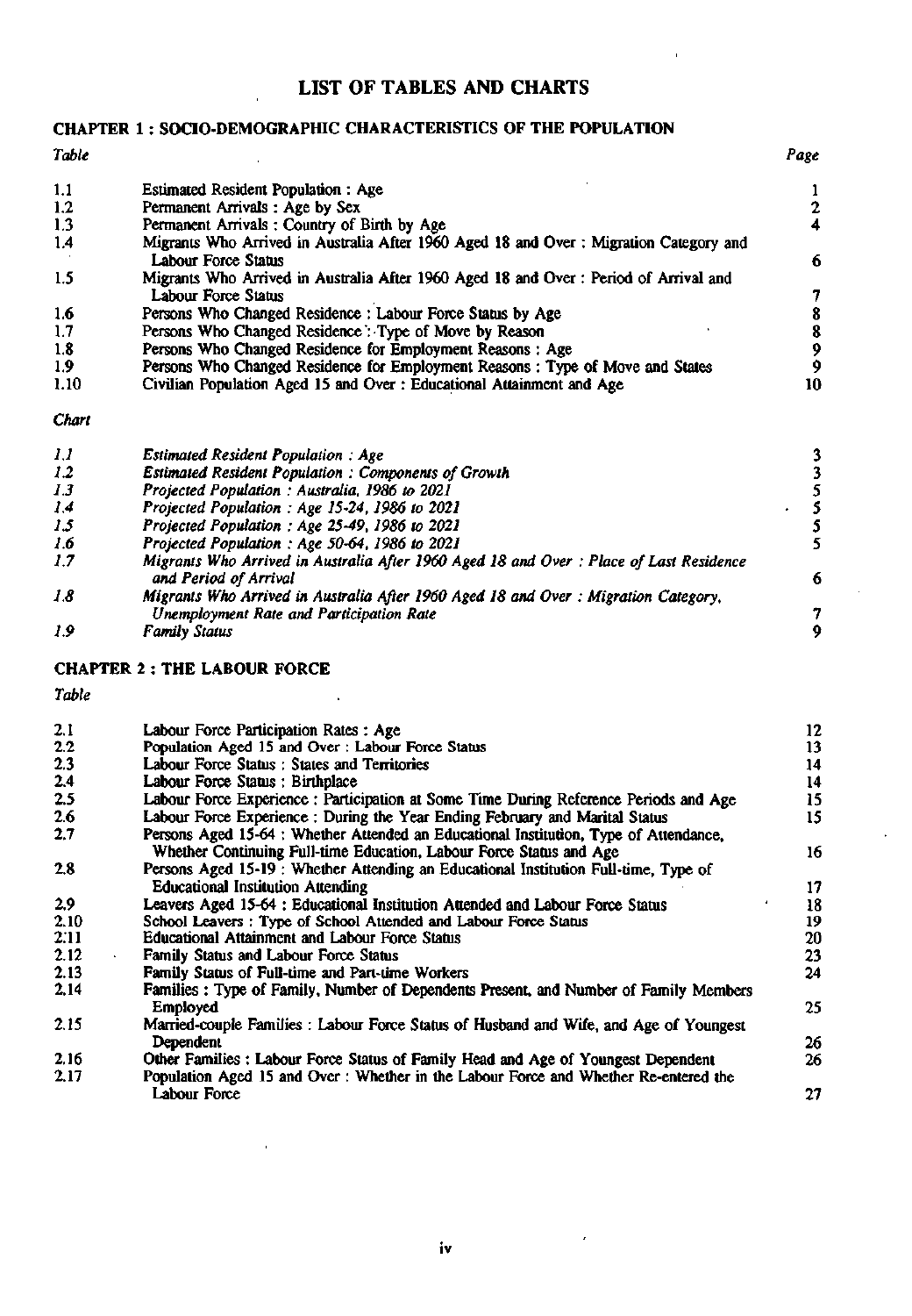#### **LIST OF TABLES AND CHARTS**

#### **CHAPTER 1** : **SOCIO-DEMOGRAPHIC CHARACTERISTICS OF THE POPULATION**

## *Table Page*  1.1 Estimated Resident Population : Age 1 and 1 and 1 and 1 and 1 and 1 and 1 and 1 and 1 and 1 and 1 and 1 and 1 and 1 and 1 and 1 and 1 and 1 and 1 and 1 and 1 and 1 and 1 and 1 and 1 and 1 and 1 and 1 and 1 and 1 and 1 1.2 Permanent Arrivals: Age by Sex 2<br>1.3 Permanent Arrivals: Country of Birth by Age 2 1.3 Permanent Arrivals: Country of Birth by Age 1.4 Migrants Who Arrived in Australia After 1960 1.4 Migrants Who Arrived in Australia After 1960 Aged 18 and Over : Migration Category and Labour Force Status 6 1.5 Migrants Who Arrived in Australia After 1960 Aged 18 and Over : Period of Arrival and Labour Force Status<br>
Persons Who Changed Residence : Labour Force Status by Age 38 1.6 Persons Who Changed Residence : Labour Force Status by Age 8 1.7 Persons Who Changed Residence : Type of Move by Reason 8 8 8 8 9 9 Persons Who Changed Residence for Employment Reasons : Age 1.8 Persons Who Changed Residence for Employment Reasons : Age 9 9 Persons Who Changed Residence for Employment Reasons: Type of Move and States 9 1.9 Persons Who Changed Residence for Employment Reasons : Type of Move and States 9<br>1.10 Civilian Population Aged 15 and Over : Educational Attainment and Age 10 Civilian Population Aged 15 and Over : Educational Attainment and Age *Chart 1.1* Estimated Resident Population : Age<br> *1.2* Estimated Resident Population : Components of Growth<br>
1.3 Projected Population : Australia, 1986 to 2021<br> *1.4* Projected Population : Age 15-24, 1986 to 2021<br>
5 *1.2* Estimated Resident Population : Components of Growth **1.3** Projected Population : Australia, 1986 to 2021 *1.3* Projected Population : Australia, 1986 to 2021<br>*1.4* **Projected Population : Age 15-24, 1986 to 202.** *1.4* Projected Population : Age 15-24, 1986 to 2021<br> *1.5* Projected Population : Age 25-49, 1986 to 2021

- 
- **7.5** *Projected Population : Age 25-49,1986 to 2021* **5**
- *1.6* Projected Population : Age 50-64, 1986 to 2021<br>**1.7** Migrants Who Arrived in Australia After 1960 A *1.7 Migrants Who Arrived in Australia After 1960 Aged 18 and Over : Place of Last Residence and Period of Arrival* **6**  *1.8 Migrants Who Arrived in Australia After 1960 Aged 18 and Over : Migration Category, Unemployment Rate and Participation Rate*<br> *Family Status*<sup>7</sup> *9*
- *1.9 Family Status 9*

#### **CHAPTER 2** : **THE LABOUR FORCE**

| 2.1  | Labour Force Participation Rates: Age                                                  | 12 |
|------|----------------------------------------------------------------------------------------|----|
| 2.2  | Population Aged 15 and Over: Labour Force Status                                       | 13 |
| 2.3  | Labour Force Status: States and Territories                                            | 14 |
| 2.4  | Labour Force Status: Birthplace                                                        | 14 |
| 2.5  | Labour Force Experience : Participation at Some Time During Reference Periods and Age  | 15 |
| 2.6  | Labour Force Experience: During the Year Ending February and Marital Status            | 15 |
| 2.7  | Persons Aged 15-64 : Whether Attended an Educational Institution, Type of Attendance,  |    |
|      | Whether Continuing Full-time Education, Labour Force Status and Age                    | 16 |
| 2.8  | Persons Aged 15-19 : Whether Attending an Educational Institution Full-time, Type of   |    |
|      | <b>Educational Institution Attending</b>                                               | 17 |
| 2.9  | Leavers Aged 15-64 : Educational Institution Attended and Labour Force Status          | 18 |
| 2.10 | School Leavers: Type of School Attended and Labour Force Status                        | 19 |
| 2:11 | <b>Educational Attainment and Labour Force Status</b>                                  | 20 |
| 2.12 | Family Status and Labour Force Status                                                  | 23 |
| 2.13 | Family Status of Full-time and Part-time Workers                                       | 24 |
| 2.14 | Families: Type of Family, Number of Dependents Present, and Number of Family Members   |    |
|      | <b>Employed</b>                                                                        | 25 |
| 2.15 | Married-couple Families : Labour Force Status of Husband and Wife, and Age of Youngest |    |
|      | Dependent                                                                              | 26 |
| 2.16 | Other Families: Labour Force Status of Family Head and Age of Youngest Dependent       | 26 |
| 2.17 | Population Aged 15 and Over: Whether in the Labour Force and Whether Re-entered the    |    |
|      | Labour Force                                                                           | 27 |
|      |                                                                                        |    |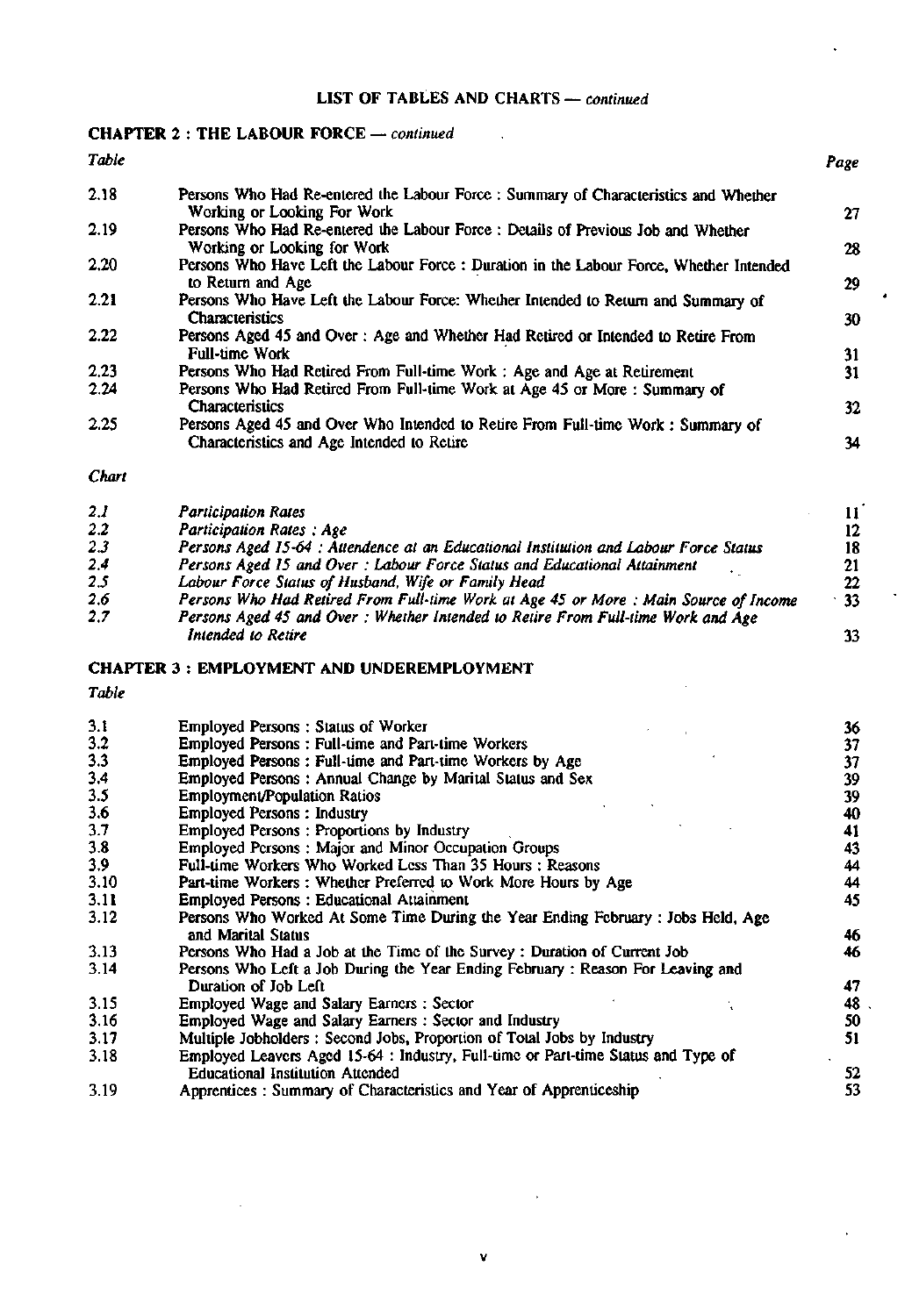### **LIST** OF TABLES AND **CHARTS** — *continued*

 $\sim$   $\sim$ 

## **CHAPTER 2 : THE LABOUR FORCE** — *continued*

| Table |                                                                                                                    | Page |
|-------|--------------------------------------------------------------------------------------------------------------------|------|
| 2.18  | Persons Who Had Re-entered the Labour Force: Summary of Characteristics and Whether<br>Working or Looking For Work | 27   |
| 2.19  | Persons Who Had Re-entered the Labour Force: Details of Previous Job and Whether<br>Working or Looking for Work    | 28   |
| 2.20  | Persons Who Have Left the Labour Force: Duration in the Labour Force, Whether Intended<br>to Return and Age        | 29   |
| 2.21  | Persons Who Have Left the Labour Force: Whether Intended to Return and Summary of<br><b>Characteristics</b>        | 30   |
| 2.22  | Persons Aged 45 and Over: Age and Whether Had Retired or Intended to Retire From<br><b>Full-time Work</b>          | 31   |
| 2.23  | Persons Who Had Retired From Full-time Work: Age and Age at Retirement                                             | 31   |
| 2.24  | Persons Who Had Retired From Full-time Work at Age 45 or More: Summary of                                          |      |
|       | <b>Characteristics</b>                                                                                             | 32   |
| 2.25  | Persons Aged 45 and Over Who Intended to Retire From Full-time Work: Summary of                                    |      |
|       | Characteristics and Age Intended to Retire                                                                         | 34   |

*Chart* 

| 2.1 | <b>Participation Rates</b>                                                            |            |  |
|-----|---------------------------------------------------------------------------------------|------------|--|
| 2.2 | <b>Participation Rates: Age</b>                                                       |            |  |
| 2.3 | Persons Aged 15-64 : Attendence at an Educational Institution and Labour Force Status | 18         |  |
| 2.4 | Persons Aged 15 and Over: Labour Force Status and Educational Attainment              |            |  |
| 2.5 | Labour Force Status of Husband, Wife or Family Head                                   | 22         |  |
| 2.6 | Persons Who Had Retired From Full-time Work at Age 45 or More: Main Source of Income  | $\cdot$ 33 |  |
| 2.7 | Persons Aged 45 and Over: Whether Intended to Retire From Full-time Work and Age      |            |  |
|     | Intended to Retire                                                                    |            |  |

#### **CHAPTER 3 : EMPLOYMENT AND UNDEREMPLOYMENT**

| 3.1  | <b>Employed Persons: Status of Worker</b>                                         | 36 |
|------|-----------------------------------------------------------------------------------|----|
| 3.2  | <b>Employed Persons: Full-time and Part-time Workers</b>                          | 37 |
| 3.3  | Employed Persons: Full-time and Part-time Workers by Age                          | 37 |
| 3,4  | Employed Persons: Annual Change by Marital Status and Sex                         | 39 |
| 3.5  | <b>Employment/Population Ratios</b>                                               | 39 |
| 3.6  | <b>Employed Persons: Industry</b>                                                 | 40 |
| 3.7  | <b>Employed Persons: Proportions by Industry</b>                                  | 41 |
| 3.8  | Employed Persons: Major and Minor Occupation Groups                               | 43 |
| 3.9  | Full-time Workers Who Worked Less Than 35 Hours: Reasons                          | 44 |
| 3.10 | Part-time Workers: Whether Preferred to Work More Hours by Age                    | 44 |
| 3.11 | <b>Employed Persons: Educational Attainment</b>                                   | 45 |
| 3.12 | Persons Who Worked At Some Time During the Year Ending February : Jobs Held, Age  |    |
|      | and Marital Status                                                                | 46 |
| 3.13 | Persons Who Had a Job at the Time of the Survey: Duration of Current Job          | 46 |
| 3.14 | Persons Who Left a Job During the Year Ending February: Reason For Leaving and    |    |
|      | Duration of Job Left                                                              | 47 |
| 3.15 | Employed Wage and Salary Earners: Sector                                          | 48 |
| 3.16 | Employed Wage and Salary Earners: Sector and Industry                             | 50 |
| 3.17 | Multiple Jobholders: Second Jobs, Proportion of Total Jobs by Industry            | 51 |
| 3.18 | Employed Leavers Aged 15-64 : Industry, Full-time or Part-time Status and Type of |    |
|      | <b>Educational Institution Attended</b>                                           | 52 |
| 3.19 | Apprentices: Summary of Characteristics and Year of Apprenticeship                | 53 |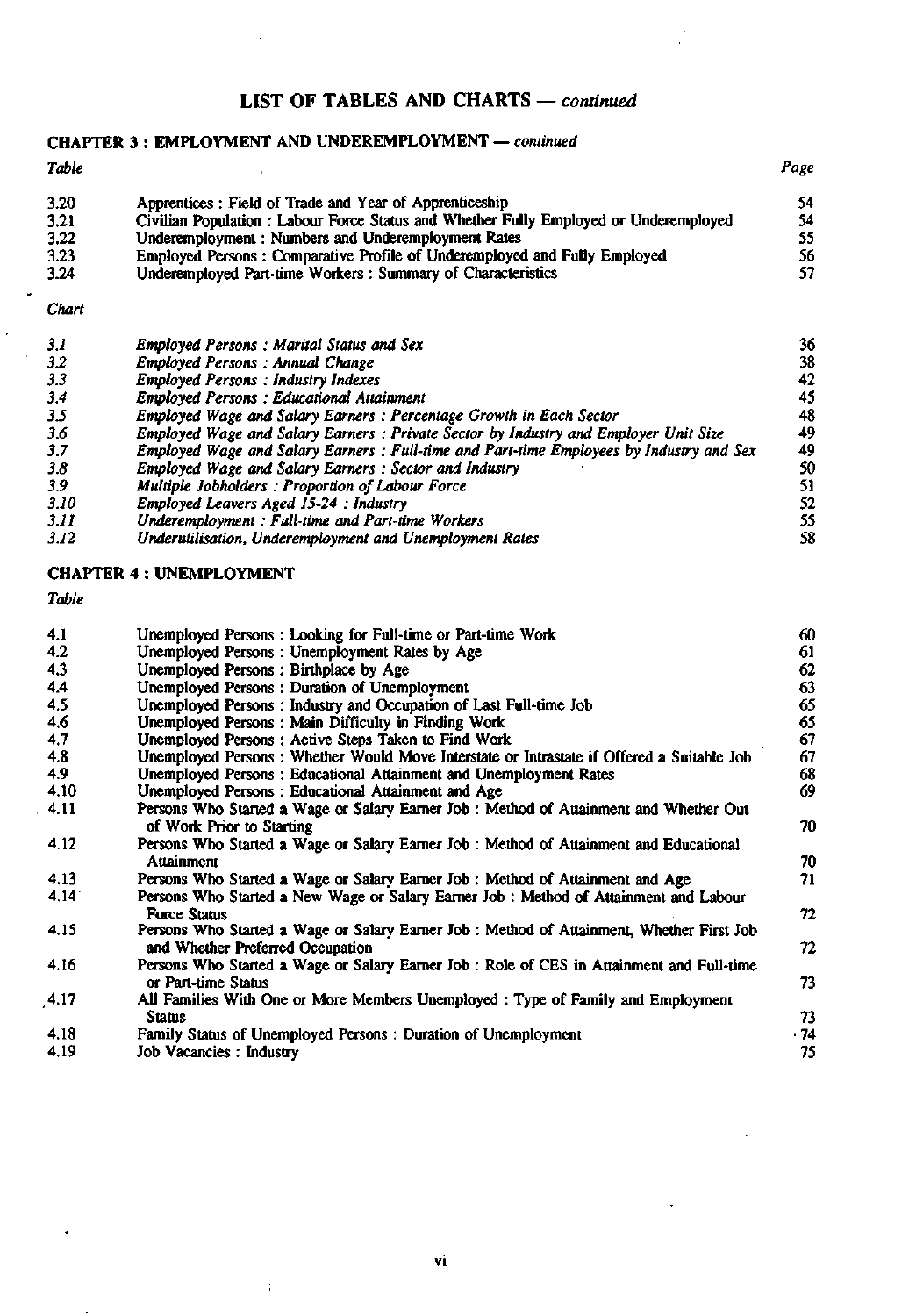## **LIST OF TABLES AND CHARTS** — *continued*

## **CHAPTER 3** : **EMPLOYMENT AND UNDEREMPLOYMENT** — *continued*

| Table |                                                                                       | Page |
|-------|---------------------------------------------------------------------------------------|------|
| 3.20  | Apprentices: Field of Trade and Year of Apprenticeship                                | 54.  |
| 3.21  | Civilian Population : Labour Force Status and Whether Fully Employed or Underemployed | 54   |
| 3.22  | Underemployment: Numbers and Underemployment Rates                                    | 55   |
| 3.23  | Employed Persons: Comparative Profile of Underemployed and Fully Employed             | 56   |
| 3.24  | Underemployed Part-time Workers: Summary of Characteristics                           | 57   |

#### *Chart*

| 3.1  | <b>Employed Persons: Marital Status and Sex</b>                                         | 36 |
|------|-----------------------------------------------------------------------------------------|----|
| 3.2  | Employed Persons: Annual Change                                                         | 38 |
| 3.3  | <b>Employed Persons: Industry Indexes</b>                                               | 42 |
| 3.4  | <b>Employed Persons: Educational Attainment</b>                                         | 45 |
| 3.5  | Employed Wage and Salary Earners: Percentage Growth in Each Sector                      | 48 |
| 3.6  | Employed Wage and Salary Earners: Private Sector by Industry and Employer Unit Size     | 49 |
| 3.7  | Employed Wage and Salary Earners: Full-time and Part-time Employees by Industry and Sex | 49 |
| 3.8  | <b>Employed Wage and Salary Earners: Sector and Industry</b>                            | 50 |
| 3.9  | Multiple Jobholders: Proportion of Labour Force                                         | 51 |
| 3.10 | Employed Leavers Aged 15-24 : Industry                                                  | 52 |
| 3.II | Underemployment: Full-time and Part-time Workers                                        | 55 |
| 3.12 | Underutilisation, Underemployment and Unemployment Rates                                | 58 |

#### **CHAPTER 4** : **UNEMPLOYMENT**

*Table* 

| 4.1  | Unemployed Persons: Looking for Full-time or Part-time Work                                                         | 60   |
|------|---------------------------------------------------------------------------------------------------------------------|------|
| 4.2  | Unemployed Persons: Unemployment Rates by Age                                                                       | 61   |
| 4.3  | Unemployed Persons: Birthplace by Age                                                                               | 62   |
| 4.4  | Unemployed Persons: Duration of Unemployment                                                                        | 63   |
| 4.5  | Unemployed Persons: Industry and Occupation of Last Full-time Job                                                   | 65   |
| 4.6  | Unemployed Persons: Main Difficulty in Finding Work                                                                 | 65   |
| 4,7  | Unemployed Persons: Active Steps Taken to Find Work                                                                 | 67   |
| 4.8  | Unemployed Persons: Whether Would Move Interstate or Intrastate if Offered a Suitable Job                           | 67   |
| 4.9  | Unemployed Persons: Educational Attainment and Unemployment Rates                                                   | 68   |
| 4.10 | Unemployed Persons: Educational Attainment and Age                                                                  | 69   |
| 4.11 | Persons Who Started a Wage or Salary Earner Job : Method of Attainment and Whether Out<br>of Work Prior to Starting | 70   |
| 4.12 | Persons Who Started a Wage or Salary Earner Job : Method of Attainment and Educational                              |      |
|      | Attainment                                                                                                          | 70   |
| 4.13 | Persons Who Started a Wage or Salary Earner Job : Method of Attainment and Age                                      | 71.  |
| 4.14 | Persons Who Started a New Wage or Salary Earner Job: Method of Attainment and Labour<br><b>Force Status</b>         | 72   |
| 4.15 | Persons Who Started a Wage or Salary Earner Job : Method of Attainment, Whether First Job                           |      |
|      | and Whether Preferred Occupation                                                                                    | 72.  |
| 4.16 | Persons Who Started a Wage or Salary Earner Job : Role of CES in Attainment and Full-time<br>or Part-time Status    | 73   |
| 4.17 | All Families With One or More Members Unemployed : Type of Family and Employment<br><b>Status</b>                   | 73   |
| 4.18 | Family Status of Unemployed Persons: Duration of Unemployment                                                       | . 74 |
| 4.19 | Job Vacancies: Industry                                                                                             | 75   |

÷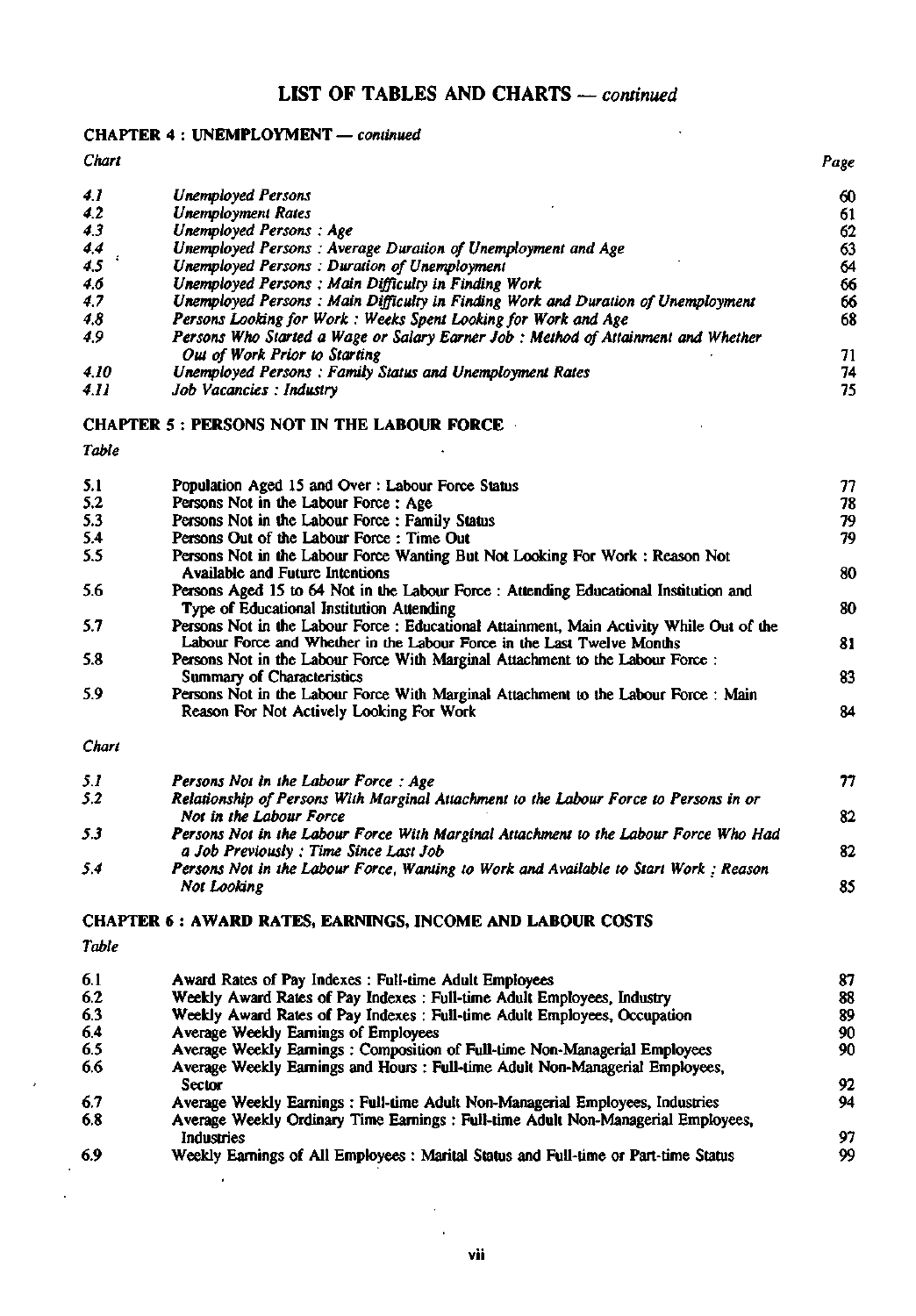## **LIST OF TABLES AND CHARTS** — *continued*

#### CHAPTER 4 : UNEMPLOYMENT — *continued*

*Chart Page 4.1 Unemployed Persons* **60**  *4.2* Unemployment Rates<br> *4.3* Unemployed Persons: Age *4.3* Unemployed Persons: Age<br>4.4 Unemployed Persons: Aver *4.4 Unemployed Persons : Average Duration of Unemployment and Age*<br>4.5 Unemployed Persons : Duration of Unemployment<br>64 *4.5 ' Unemployed Persons: Duration of Unemployment* **64**  *4.6* Unemployed Persons: Main Difficulty in Finding Work<br>4.7 **Unemployed Persons: Main Difficulty in Finding Work and Duration of Unemployment 66** *4.7 Unemployed Persons : Main Difficulty in Finding Work and Duration of Unemployment* **66**  *4.8* Persons Looking for Work : Weeks Spent Looking for Work and Age<br>4.9 **Persons Who Started a Wage or Salary Earner Job : Method of Attain** *4.9 Persons Who Started a Wage or Salary Earner Job : Method of Attainment and Whether Out of Work Prior to Starting*<br>
71 *4.10 Unemployed Persons: Family Status and Unemployment Rates*<br>*4.11 50b Vacancies: Industry* 75 *4.11 Job Vacancies : Industry* **75** 

## CHAPTER 5 : PERSONS NOT IN THE LABOUR FORCE

*Table* 

| 5.1   | Population Aged 15 and Over: Labour Force Status                                                                                                                   | 77 |
|-------|--------------------------------------------------------------------------------------------------------------------------------------------------------------------|----|
| 5,2   | Persons Not in the Labour Force: Age                                                                                                                               | 78 |
| 5.3   | Persons Not in the Labour Force: Family Status                                                                                                                     | 79 |
| 5.4   | Persons Out of the Labour Force: Time Out                                                                                                                          | 79 |
| 5.5   | Persons Not in the Labour Force Wanting But Not Looking For Work: Reason Not<br><b>Available and Future Intentions</b>                                             | 80 |
| 5.6   | Persons Aged 15 to 64 Not in the Labour Force: Attending Educational Institution and<br>Type of Educational Institution Attending                                  | 80 |
| 5.7   | Persons Not in the Labour Force : Educational Attainment, Main Activity While Out of the<br>Labour Force and Whether in the Labour Force in the Last Twelve Months | 81 |
| 5.8   | Persons Not in the Labour Force With Marginal Attachment to the Labour Force:<br>Summary of Characteristics                                                        | 83 |
| 5.9   | Persons Not in the Labour Force With Marginal Attachment to the Labour Force: Main<br>Reason For Not Actively Looking For Work                                     | 84 |
| Chart |                                                                                                                                                                    |    |

| 5.1 | Persons Not in the Labour Force: Age                                                                                          | 77 |
|-----|-------------------------------------------------------------------------------------------------------------------------------|----|
| 5.2 | Relationship of Persons With Marginal Attachment to the Labour Force to Persons in or<br>Not in the Labour Force              | 82 |
| 5.3 | Persons Not in the Labour Force With Marginal Attachment to the Labour Force Who Had<br>a Job Previously: Time Since Last Job | 82 |
| 5.4 | Persons Not in the Labour Force, Wanting to Work and Available to Start Work ; Reason<br>Not Looking                          | 85 |

#### CHAPTER **6** : **AWARD** RATES, EARNINGS, INCOME AND LABOUR COSTS

| 6.1 | Award Rates of Pay Indexes: Full-time Adult Employees                               | 87  |
|-----|-------------------------------------------------------------------------------------|-----|
| 6.2 | Weekly Award Rates of Pay Indexes : Full-time Adult Employees, Industry             | 88  |
| 6.3 | Weekly Award Rates of Pay Indexes: Full-time Adult Employees, Occupation            | 89  |
| 6.4 | Average Weekly Earnings of Employees                                                | 90  |
| 6.5 | Average Weekly Earnings: Composition of Full-time Non-Managerial Employees          | 90  |
| 6.6 | Average Weekly Earnings and Hours: Full-time Adult Non-Managerial Employees,        |     |
|     | Sector                                                                              | 92. |
| 6.7 | Average Weekly Earnings : Full-time Adult Non-Managerial Employees, Industries      | 94  |
| 6.8 | Average Weekly Ordinary Time Earnings: Full-time Adult Non-Managerial Employees,    |     |
|     | Industries                                                                          | 97  |
| 6.9 | Weekly Earnings of All Employees : Marital Status and Full-time or Part-time Status | 99  |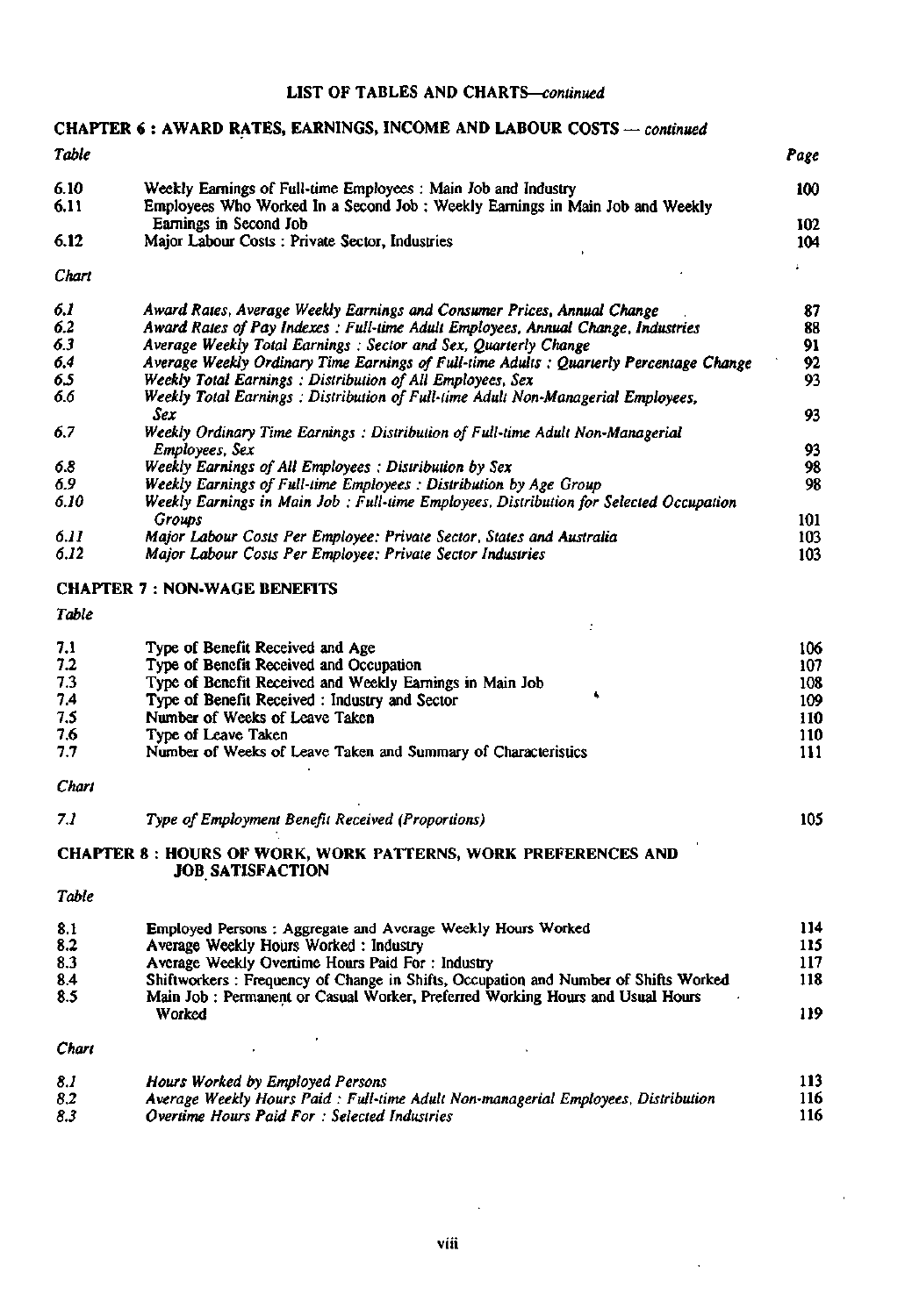#### **LIST OF TABLES AND CHARTS—***continued*

### **CHAPTER 6 : AWARD RATES, EARNINGS, INCOME AND LABOUR COSTS** — *continued*

| Table |                                                                               | Page |
|-------|-------------------------------------------------------------------------------|------|
| 6.10  | Weekly Earnings of Full-time Employees : Main Job and Industry                | 100  |
| 6.11  | Employees Who Worked In a Second Job : Weekly Earnings in Main Job and Weekly |      |
|       | Earnings in Second Job                                                        | 102  |
| 6.12  | Major Labour Costs: Private Sector, Industries                                | 104  |
| Chart |                                                                               |      |

| 6.1  | Award Rates, Average Weekly Earnings and Consumer Prices, Annual Change                 | 87  |
|------|-----------------------------------------------------------------------------------------|-----|
| 6.2  | Award Rates of Pay Indexes: Full-time Adult Employees, Annual Change, Industries        | 88  |
| 6.3  | Average Weekly Total Earnings: Sector and Sex, Quarterly Change                         | 91  |
| 6.4  | Average Weekly Ordinary Time Earnings of Full-time Adults : Quarterly Percentage Change | 92  |
| 6.5  | Weekly Total Earnings: Distribution of All Employees, Sex                               | 93  |
| 6.6  | Weekly Total Earnings: Distribution of Full-time Adult Non-Managerial Employees,        |     |
|      | Sex                                                                                     | 93  |
| 6.7  | Weekly Ordinary Time Earnings: Distribution of Full-time Adult Non-Managerial           |     |
|      | Employees, Sex                                                                          | 93  |
| 6.8  | Weekly Earnings of All Employees: Distribution by Sex                                   | 98  |
| 6.9  | Weekly Earnings of Full-time Employees: Distribution by Age Group                       | 98  |
| 6.10 | Weekly Earnings in Main Job : Full-time Employees, Distribution for Selected Occupation |     |
|      | <b>Groups</b>                                                                           | 101 |
| 6.11 | Major Labour Costs Per Employee: Private Sector, States and Australia                   | 103 |
| 6.12 | Major Labour Costs Per Employee: Private Sector Industries                              | 103 |

#### **CHAPTER 7 : NON-WAGE BENEFITS**

#### *Table*

| 7.1 | Type of Benefit Received and Age                              | 106 |
|-----|---------------------------------------------------------------|-----|
| 7.2 | Type of Benefit Received and Occupation                       | 107 |
| 7.3 | Type of Benefit Received and Weekly Earnings in Main Job      | 108 |
| 7.4 | Type of Benefit Received : Industry and Sector                | 109 |
| 7.5 | Number of Weeks of Leave Taken                                | 110 |
| 7.6 | Type of Leave Taken                                           | 110 |
| 7.7 | Number of Weeks of Leave Taken and Summary of Characteristics |     |
|     |                                                               |     |

#### *Chart*

*7.1 Type of Employment Benefit Received (Proportions)* 105

#### **CHAPTER 8 : HOURS OF WORK, WORK PATTERNS, WORK PREFERENCES AND JOB SATISFACTION**

#### *Table*

| 8.1 | Employed Persons: Aggregate and Average Weekly Hours Worked                         | 114 |
|-----|-------------------------------------------------------------------------------------|-----|
| 8.2 | Average Weekly Hours Worked: Industry                                               | 115 |
| 8.3 | Average Weekly Overtime Hours Paid For: Industry                                    | 117 |
| 8.4 | Shiftworkers: Frequency of Change in Shifts, Occupation and Number of Shifts Worked | 118 |
| 8.5 | Main Job : Permanent or Casual Worker, Preferred Working Hours and Usual Hours      |     |
|     | Worked                                                                              | 119 |
|     |                                                                                     |     |

#### *Chart*

| 8.1 | Hours Worked by Employed Persons                                                   | 113 |
|-----|------------------------------------------------------------------------------------|-----|
| 8.2 | Average Weekly Hours Paid : Full-time Adult Non-managerial Employees, Distribution | 116 |
| 8.3 | Overtime Hours Paid For: Selected Industries                                       |     |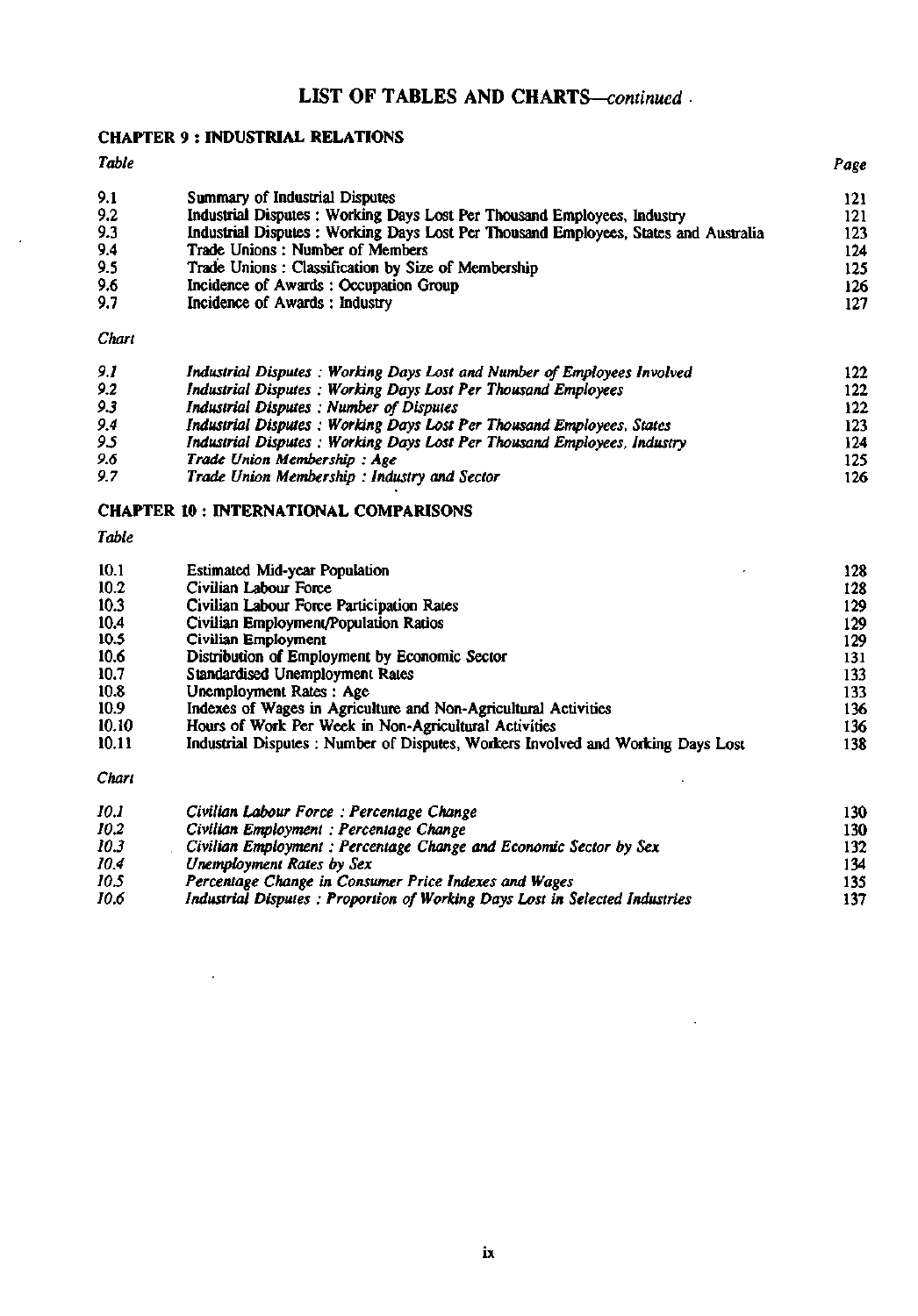# LIST OF TABLES AND CHARTS—*continued*

## **CHAPTER 9** : **INDUSTRIAL RELATIONS**

#### *Table Page*

J.

| 9.1 | Summary of Industrial Disputes                                                       | 121 |
|-----|--------------------------------------------------------------------------------------|-----|
| 9.2 | Industrial Disputes: Working Days Lost Per Thousand Employees, Industry              | 121 |
|     |                                                                                      |     |
| 9.3 | Industrial Disputes : Working Days Lost Per Thousand Employees, States and Australia | 123 |
| 9.4 | Trade Unions: Number of Members                                                      | 124 |
| 9.5 | Trade Unions: Classification by Size of Membership                                   | 125 |
| 9.6 | Incidence of Awards: Occupation Group                                                | 126 |
| 9.7 | Incidence of Awards: Industry                                                        | 127 |
|     |                                                                                      |     |

#### *Chart*

| 9.1 | Industrial Disputes: Working Days Lost and Number of Employees Involved | 122 <sub>1</sub> |
|-----|-------------------------------------------------------------------------|------------------|
| 9.2 | Industrial Disputes: Working Days Lost Per Thousand Employees           | 122              |
| 9.3 | Industrial Disputes: Number of Disputes                                 | 122              |
| 9.4 | Industrial Disputes: Working Days Lost Per Thousand Employees, States   | 123              |
| 95  | Industrial Disputes: Working Days Lost Per Thousand Employees, Industry | 124              |
| 9.6 | Trade Union Membership: Age                                             | 125              |
| 9.7 | Trade Union Membership: Industry and Sector                             | 126              |

## **CHAPTER 10 : INTERNATIONAL COMPARISONS**

| 10.1  | <b>Estimated Mid-year Population</b>                                             | 128 |
|-------|----------------------------------------------------------------------------------|-----|
| 10.2  | Civilian Labour Force                                                            | 128 |
| 10.3  | Civilian Labour Force Participation Rates                                        | 129 |
| 10.4  | Civilian Employment/Population Ratios                                            | 129 |
| 10.5  | Civilian Employment                                                              | 129 |
| 10.6  | Distribution of Employment by Economic Sector                                    | 131 |
| 10.7  | <b>Standardised Unemployment Rates</b>                                           | 133 |
| 10.8  | Unemployment Rates: Age                                                          | 133 |
| 10.9  | Indexes of Wages in Agriculture and Non-Agricultural Activities                  | 136 |
| 10.10 | Hours of Work Per Week in Non-Agricultural Activities                            | 136 |
| 10.11 | Industrial Disputes : Number of Disputes, Workers Involved and Working Days Lost | 138 |
| Chart |                                                                                  |     |
| 10.1  | Civilian Labour Force: Percentage Change                                         | 130 |
| 10.2  | Civilian Employment : Percentage Change                                          | 130 |

|      | Citizen Chenologian . I crecimente Chenice                                  | 1.W |
|------|-----------------------------------------------------------------------------|-----|
| 10.3 | Civilian Employment : Percentage Change and Economic Sector by Sex          | 132 |
| 10.4 | Unemployment Rates by Sex                                                   | 134 |
| 10.5 | Percentage Change in Consumer Price Indexes and Wages                       | 135 |
| 10.6 | Industrial Disputes: Proportion of Working Days Lost in Selected Industries | 137 |
|      |                                                                             |     |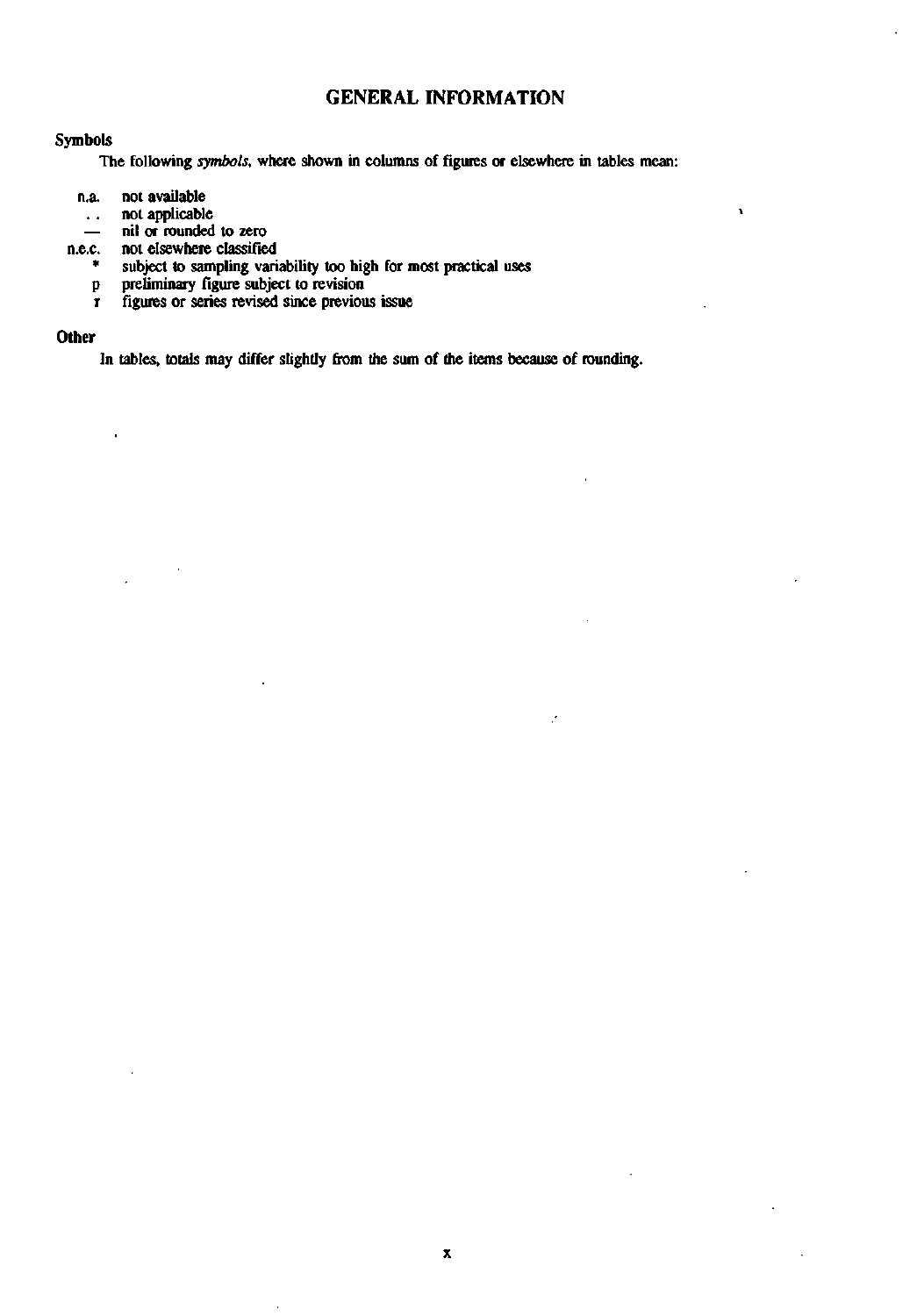## **GENERAL INFORMATION**

#### Symbols

The following *symbols,* where shown in columns of figures or elsewhere in tables mean:

- n.a. not available
	- not applicable  $\ddotsc$
	- nil or rounded to zero
- n.e.c. not elsewhere classified
	- subject to sampling variability too high for most practical uses
	- p preliminary figure subject to revision
	- r figures or series revised since previous issue

#### **Other**

In tables, totals may differ slightly from the sum of the items because of rounding.

J,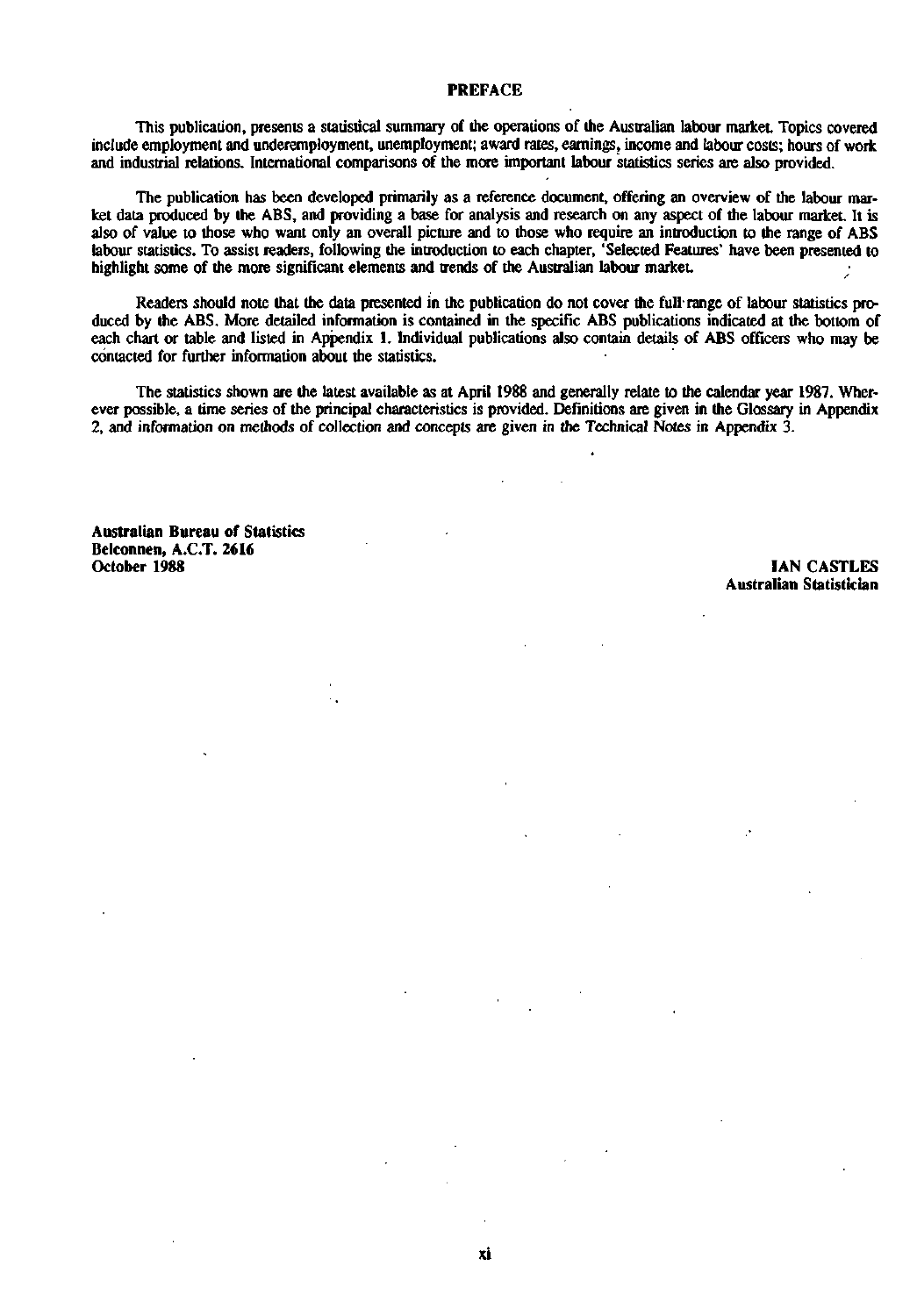#### **PREFACE**

This publication, presents a statistical summary of the operations of the Australian labour market. Topics covered include employment and underemployment, unemployment; award rates, earnings, income and labour costs; hours of work and industrial relations. International comparisons of the more important labour statistics series are also provided.

The publication has been developed primarily as a reference document, offering an overview of the labour market data produced by the ABS, and providing a base for analysis and research on any aspect of the labour market. It is also of value to those who want only an overall picture and to those who require an introduction to the range of ABS labour statistics. To assist readers, following the introduction to each chapter, 'Selected Features' have been presented to highlight some of the more significant elements and trends of the Australian labour market

Readers should note that the data presented in the publication do not cover the full range of labour statistics produced by the ABS. More detailed information is contained in the specific ABS publications indicated at the bottom of each chart or table and listed in Appendix 1. Individual publications also contain details of ABS officers who may be contacted for further information about the statistics.

The statistics shown are the latest available as at April 1988 and generally relate to the calendar year 1987. Wherever possible, a time series of the principal characteristics is provided. Definitions are given in the Glossary in Appendix 2, and information on methods of collection and concepts are given in the Technical Notes in Appendix 3.

**Australian Bureau of Statistics Belconnen, A.C.T. 2616** 

**IAN CASTLES Australian Statistician**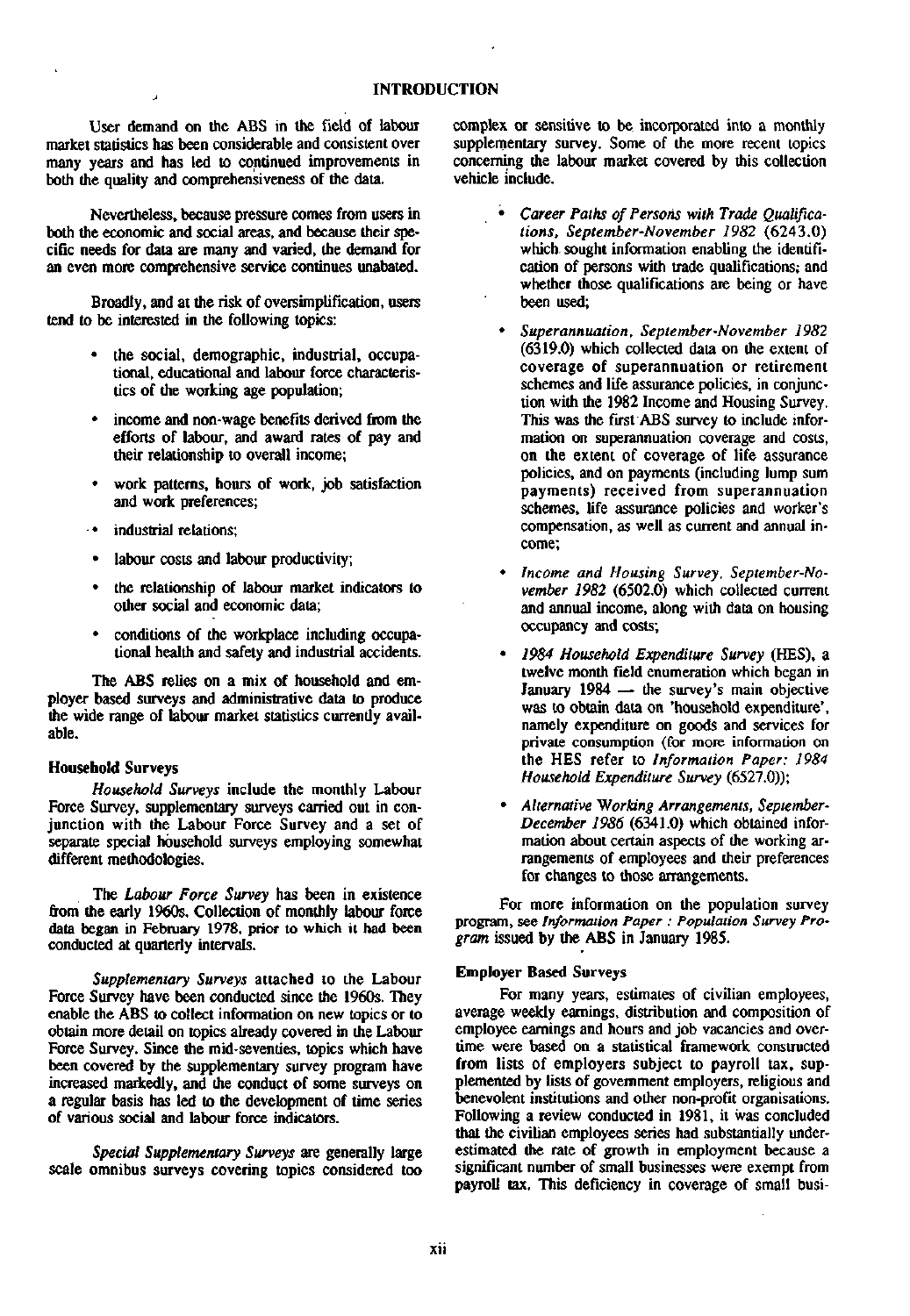User demand on the ABS in the field of labour market statistics has been considerable and consistent over many years and has led to continued improvements in both the quality and comprehensiveness of the data.

Nevertheless, because pressure comes from users in both the economic and social areas, and because their specific needs for data are many and varied, the demand for an even more comprehensive service continues unabated.

Broadly, and at the risk of oversimplification, users tend to be interested in the following topics:

- the social, demographic, industrial, occupational, educational and labour force characteristics of the working age population;
- income and non-wage benefits derived from the efforts of labour, and award rates of pay and their relationship to overall income;
- work patterns, hours of work, job satisfaction and work preferences;
- industrial relations;
- labour costs and labour productivity;
- the relationship of labour market indicators to other social and economic data;
- conditions of the workplace including occupational health and safety and industrial accidents.

The ABS relies on a mix of household and employer based surveys and administrative data to produce the wide range of labour market statistics currently available.

#### **Household Surveys**

*Household Surveys* include the monthly Labour Force Survey, supplementary surveys carried out in conjunction with the Labour Force Survey and a set of separate special household surveys employing somewhat different methodologies.

The *Labour Force Survey* has been in existence from the early 1960s. Collection of monthly labour force data began in February 1978, prior to which it had been conducted at quarterly intervals.

*Supplementary Surveys* attached to the Labour Force Survey have been conducted since the 1960s. They enable the ABS to collect information on new topics or to obtain more detail on topics already covered in the Labour Force Survey. Since the mid-seventies, topics which have been covered by the supplementary survey program have increased markedly, and the conduct of some surveys on a regular basis has led to the development of time series of various social and labour force indicators.

*Special Supplementary Surveys* are generally large scale omnibus surveys covering topics considered too complex or sensitive to be. incorporated into a monthly supplementary survey. Some of the more recent topics concerning the labour market covered by this collection vehicle include.

- • *Career Paths of Persons with Trade Qualifications, September-November 1982* (6243.0) which, sought information enabling the identification of persons with trade qualifications; and whether those qualifications are being or have been used;
- • *Superannuation, September-November 1982*  (6319.0) which collected data on the extent of coverage of superannuation or retirement schemes and life assurance policies, in conjunction with the 1982 Income and Housing Survey. This was the first ABS survey to include information on superannuation coverage and costs, on the extent of coverage of life assurance policies, and on payments (including lump sum payments) received from superannuation schemes, life assurance policies and worker's compensation, as well as current and annual income;
- • *Income and Housing Survey, September-November 1982* (6502.0) which collected current and annual income, along with data on housing occupancy and costs;
- • *1984 Household Expenditure Survey* (HES), a twelve month field enumeration which began in January 1984 — the survey's main objective was to obtain data on 'household expenditure', namely expenditure on goods and services for private consumption (for more information on the HES refer to *Information Paper: 1984 Household Expenditure Survey* (6527.0));
- • *Alternative Working Arrangements, September-December 1986* (6341.0) which obtained information about certain aspects of the working arrangements of employees and their preferences for changes to those arrangements.

For more information on the population survey program, see *Information Paper : Population Survey Program* issued by the ABS in January 1985.

#### **Employer Based** Surveys

For many years, estimates of civilian employees, average weekly earnings, distribution and composition of employee earnings and hours and job vacancies and overtime were based on a statistical framework constructed from lists of employers subject to payroll tax, supplemented by lists of government employers, religious and benevolent institutions and other non-profit organisations. Following a review conducted in 1981, it was concluded that the civilian employees series had substantially underestimated the rate of growth in employment because a significant number of small businesses were exempt from payroll tax. This deficiency in coverage of small busi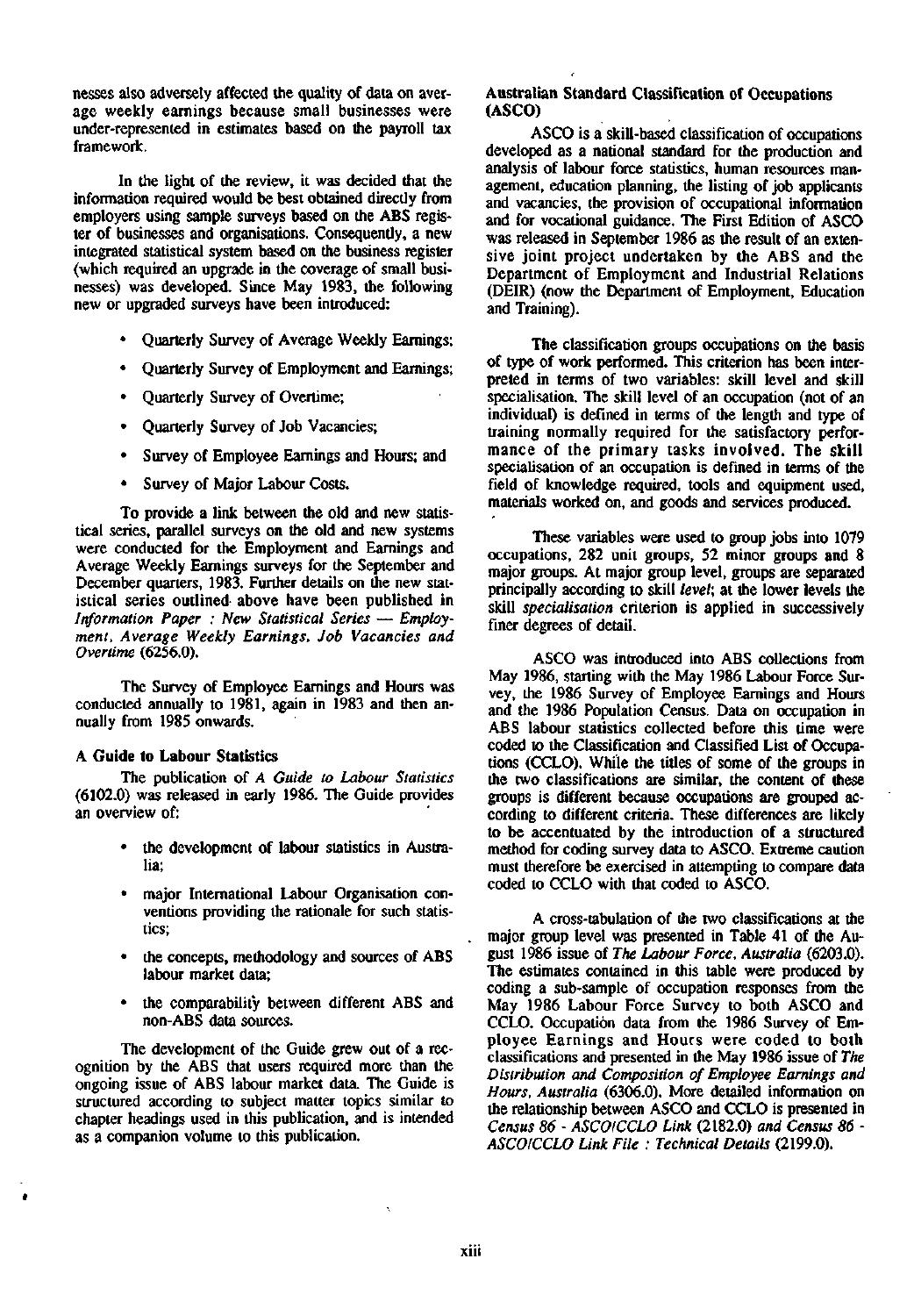nesses also adversely affected the quality of data on average weekly earnings because small businesses were under-represented in estimates based on the payroll tax framework.

In the light of the review, it was decided that the information required would be best obtained directly from employers using sample surveys based on the ABS register of businesses and organisations. Consequently, a new integrated statistical system based on the business register (which required an upgrade in the coverage of small businesses) was developed. Since May 1983, the following new or upgraded surveys have been introduced:

- Quarterly Survey of Average Weekly Earnings;
- Quarterly Survey of Employment and Earnings;
- Quarterly Survey of Overtime;
- Quarterly Survey of Job Vacancies;
- Survey of Employee Earnings and Hours; and
- Survey of Major Labour Costs.

To provide a link between the old and new statistical series, parallel surveys on the old and new systems were conducted for the Employment and Earnings and Average Weekly Earnings surveys for the September and December quarters, 1983. Further details on the new statistical series outlined above have been published in *Information Paper : New Statistical Series* — *Employment, Average Weekly Earnings, Job Vacancies and Overtime* (6256.0).

The Survey of Employee Earnings and Hours was conducted annually to 1981, again in 1983 and then annually from 1985 onwards.

#### **A Guide to Labour Statistics**

The publication of *A Guide to Labour Statistics*  (6102.0) was released in early 1986. The Guide provides an overview of:

- the development of labour statistics in Australia;
- major International Labour Organisation conventions providing the rationale for such statistics;
- the concepts, methodology and sources of ABS labour market data;
- the comparability between different ABS and non-ABS data sources.

The development of the Guide grew out of a recognition by the ABS that users required more than the ongoing issue of ABS labour market data. The Guide is structured according to subject matter topics similar to chapter headings used in this publication, and is intended as a companion volume to this publication.

#### **Australian Standard Classification of Occupations**  (ASCO)

ASCO is a skill-based classification of occupations developed as a national standard for the production and analysis of labour force statistics, human resources management, education planning, the listing of job applicants and vacancies, the provision of occupational information and for vocational guidance. The First Edition of ASCO was released in September 1986 as the result of an extensive joint project undertaken by the ABS and the Department of Employment and Industrial Relations (DEIR) (now the Department of Employment, Education and Training).

The classification groups occupations on the basis of type of work performed. This criterion has been interpreted in terms of two variables: skill level and skill specialisation. The skill level of an occupation (not of an individual) is defined in terms of the length and type of training normally required for the satisfactory performance of the primary tasks involved. The skill specialisation of an occupation is defined in terms of the field of knowledge required, tools and equipment used, materials worked on, and goods and services produced.

These variables were used to group jobs into 1079 occupations, 282 unit groups, 52 minor groups and 8 major groups. At major group level, groups are separated principally according to skill *level;* at the lower levels the skill *specialisation* criterion is applied in successively finer degrees of detail.

ASCO was introduced into ABS collections from May 1986, starting with the May 1986 Labour Force Survey, the 1986 Survey of Employee Earnings and Hours and the 1986 Population Census. Data on occupation in ABS labour statistics collected before this time were coded to the Classification and Classified List of Occupations (CCLO). While the titles of some of the groups in the two classifications are similar, the content of these groups is different because occupations are grouped according to different criteria. These differences are likely to be accentuated by the introduction of a structured method for coding survey data to ASCO. Extreme caution must therefore be exercised in attempting to compare data coded to CCLO with that coded to ASCO.

A cross-tabulation of the two classifications at the major group level was presented in Table 41 of the August 1986 issue of *The Labour Force, Australia* (6203.0). The estimates contained in this table were produced by coding a sub-sample of occupation responses from the May 1986 Labour Force Survey to both ASCO and CCLO. Occupation data from the 1986 Survey of Employee Earnings and Hours were coded to both classifications and presented in the May 1986 issue of *The Distribution and Composition of Employee Earnings and Hours, Australia* (6306.0). More detailed information on the relationship between ASCO and CCLO is presented in *Census 86 - ASCOICCLO Link* (2182.0) *and Census 86 - ASCOICCLO Link File : Technical Details* (2199.0).